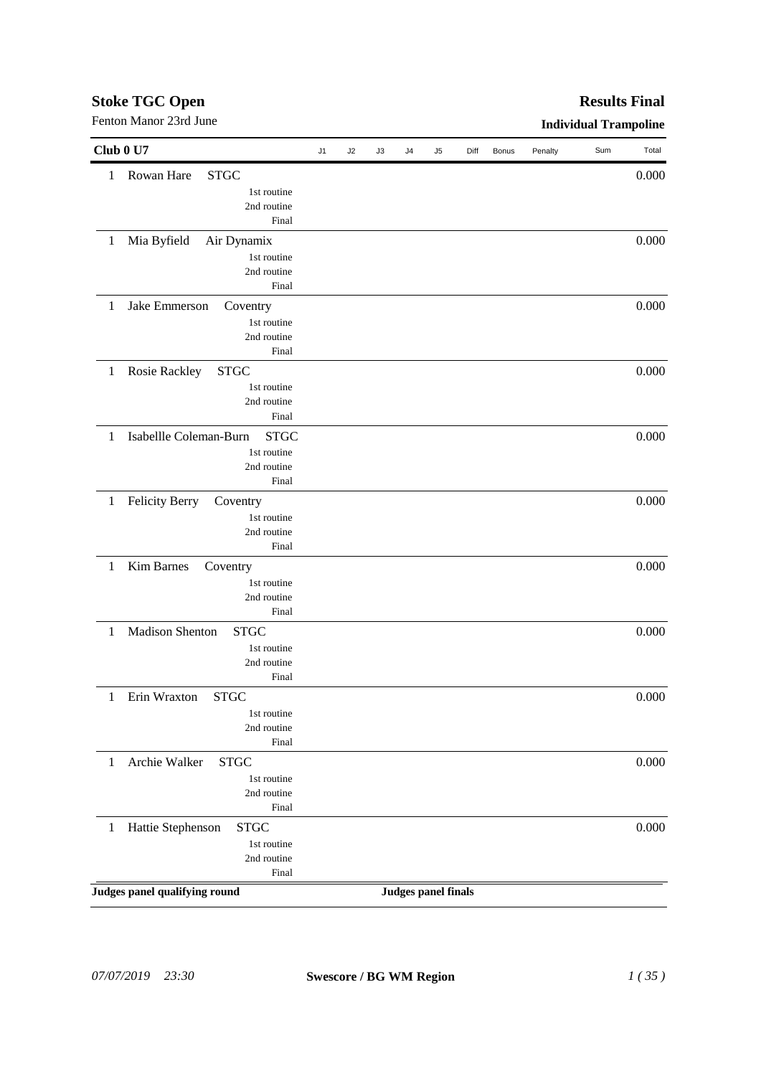# *07/07/2019 23:30* **Swescore / BG WM Region** *1 ( 35 )*

| Fenton Manor 23rd June |                                       |    |    |    |                |                            |      |              |         | <b>Individual Trampoline</b> |       |
|------------------------|---------------------------------------|----|----|----|----------------|----------------------------|------|--------------|---------|------------------------------|-------|
| Club 0 U7              |                                       | J1 | J2 | J3 | J <sub>4</sub> | J5                         | Diff | <b>Bonus</b> | Penalty | Sum                          | Total |
| 1                      | Rowan Hare<br><b>STGC</b>             |    |    |    |                |                            |      |              |         |                              | 0.000 |
|                        | 1st routine                           |    |    |    |                |                            |      |              |         |                              |       |
|                        | 2nd routine                           |    |    |    |                |                            |      |              |         |                              |       |
|                        | Final                                 |    |    |    |                |                            |      |              |         |                              |       |
| $\mathbf{1}$           | Mia Byfield<br>Air Dynamix            |    |    |    |                |                            |      |              |         |                              | 0.000 |
|                        | 1st routine                           |    |    |    |                |                            |      |              |         |                              |       |
|                        | 2nd routine                           |    |    |    |                |                            |      |              |         |                              |       |
|                        | Final                                 |    |    |    |                |                            |      |              |         |                              |       |
| 1                      | Jake Emmerson<br>Coventry             |    |    |    |                |                            |      |              |         |                              | 0.000 |
|                        |                                       |    |    |    |                |                            |      |              |         |                              |       |
|                        | 1st routine<br>2nd routine            |    |    |    |                |                            |      |              |         |                              |       |
|                        | Final                                 |    |    |    |                |                            |      |              |         |                              |       |
|                        |                                       |    |    |    |                |                            |      |              |         |                              |       |
| $\mathbf{1}$           | Rosie Rackley<br><b>STGC</b>          |    |    |    |                |                            |      |              |         |                              | 0.000 |
|                        | 1st routine                           |    |    |    |                |                            |      |              |         |                              |       |
|                        | 2nd routine                           |    |    |    |                |                            |      |              |         |                              |       |
|                        | Final                                 |    |    |    |                |                            |      |              |         |                              |       |
| 1                      | Isabellle Coleman-Burn<br><b>STGC</b> |    |    |    |                |                            |      |              |         |                              | 0.000 |
|                        | 1st routine                           |    |    |    |                |                            |      |              |         |                              |       |
|                        | 2nd routine                           |    |    |    |                |                            |      |              |         |                              |       |
|                        | Final                                 |    |    |    |                |                            |      |              |         |                              |       |
| $\mathbf{1}$           | <b>Felicity Berry</b><br>Coventry     |    |    |    |                |                            |      |              |         |                              | 0.000 |
|                        | 1st routine                           |    |    |    |                |                            |      |              |         |                              |       |
|                        | 2nd routine                           |    |    |    |                |                            |      |              |         |                              |       |
|                        | Final                                 |    |    |    |                |                            |      |              |         |                              |       |
| $\mathbf{1}$           | Kim Barnes<br>Coventry                |    |    |    |                |                            |      |              |         |                              | 0.000 |
|                        | 1st routine                           |    |    |    |                |                            |      |              |         |                              |       |
|                        | 2nd routine                           |    |    |    |                |                            |      |              |         |                              |       |
|                        | Final                                 |    |    |    |                |                            |      |              |         |                              |       |
| 1                      | <b>Madison Shenton</b><br><b>STGC</b> |    |    |    |                |                            |      |              |         |                              | 0.000 |
|                        |                                       |    |    |    |                |                            |      |              |         |                              |       |
|                        | 1st routine<br>2nd routine            |    |    |    |                |                            |      |              |         |                              |       |
|                        | Final                                 |    |    |    |                |                            |      |              |         |                              |       |
|                        |                                       |    |    |    |                |                            |      |              |         |                              |       |
| 1                      | Erin Wraxton<br><b>STGC</b>           |    |    |    |                |                            |      |              |         |                              | 0.000 |
|                        | 1st routine                           |    |    |    |                |                            |      |              |         |                              |       |
|                        | 2nd routine                           |    |    |    |                |                            |      |              |         |                              |       |
|                        | Final                                 |    |    |    |                |                            |      |              |         |                              |       |
| $\mathbf{1}$           | Archie Walker<br><b>STGC</b>          |    |    |    |                |                            |      |              |         |                              | 0.000 |
|                        | 1st routine                           |    |    |    |                |                            |      |              |         |                              |       |
|                        | 2nd routine                           |    |    |    |                |                            |      |              |         |                              |       |
|                        | Final                                 |    |    |    |                |                            |      |              |         |                              |       |
| $\mathbf{1}$           | Hattie Stephenson<br><b>STGC</b>      |    |    |    |                |                            |      |              |         |                              | 0.000 |
|                        | 1st routine                           |    |    |    |                |                            |      |              |         |                              |       |
|                        | 2nd routine                           |    |    |    |                |                            |      |              |         |                              |       |
|                        | Final                                 |    |    |    |                |                            |      |              |         |                              |       |
|                        | Judges panel qualifying round         |    |    |    |                | <b>Judges panel finals</b> |      |              |         |                              |       |
|                        |                                       |    |    |    |                |                            |      |              |         |                              |       |

# **Stoke TGC Open**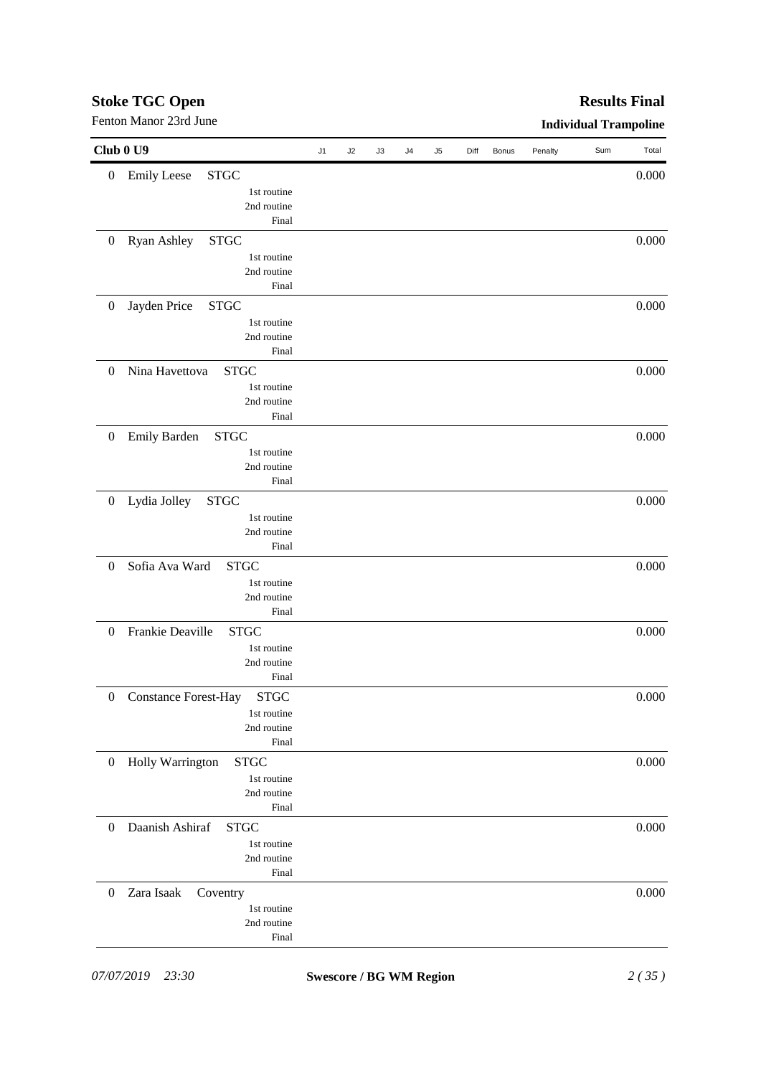| Club 0 U9                                                      |    |    |    |    |    |      |              |         |     |       |
|----------------------------------------------------------------|----|----|----|----|----|------|--------------|---------|-----|-------|
|                                                                | J1 | J2 | J3 | J4 | J5 | Diff | <b>Bonus</b> | Penalty | Sum | Total |
| <b>Emily Leese</b><br><b>STGC</b><br>$\boldsymbol{0}$          |    |    |    |    |    |      |              |         |     | 0.000 |
| 1st routine                                                    |    |    |    |    |    |      |              |         |     |       |
| 2nd routine                                                    |    |    |    |    |    |      |              |         |     |       |
| Final                                                          |    |    |    |    |    |      |              |         |     |       |
| Ryan Ashley<br><b>STGC</b><br>$\boldsymbol{0}$                 |    |    |    |    |    |      |              |         |     | 0.000 |
| 1st routine                                                    |    |    |    |    |    |      |              |         |     |       |
| 2nd routine                                                    |    |    |    |    |    |      |              |         |     |       |
| Final                                                          |    |    |    |    |    |      |              |         |     |       |
| Jayden Price<br><b>STGC</b><br>$\boldsymbol{0}$                |    |    |    |    |    |      |              |         |     | 0.000 |
| 1st routine                                                    |    |    |    |    |    |      |              |         |     |       |
| 2nd routine                                                    |    |    |    |    |    |      |              |         |     |       |
| Final                                                          |    |    |    |    |    |      |              |         |     |       |
| Nina Havettova<br><b>STGC</b><br>$\boldsymbol{0}$              |    |    |    |    |    |      |              |         |     | 0.000 |
| 1st routine                                                    |    |    |    |    |    |      |              |         |     |       |
| 2nd routine                                                    |    |    |    |    |    |      |              |         |     |       |
| Final                                                          |    |    |    |    |    |      |              |         |     |       |
| <b>Emily Barden</b><br><b>STGC</b><br>$\boldsymbol{0}$         |    |    |    |    |    |      |              |         |     | 0.000 |
| 1st routine                                                    |    |    |    |    |    |      |              |         |     |       |
| 2nd routine<br>Final                                           |    |    |    |    |    |      |              |         |     |       |
|                                                                |    |    |    |    |    |      |              |         |     |       |
| Lydia Jolley<br><b>STGC</b><br>$\boldsymbol{0}$                |    |    |    |    |    |      |              |         |     | 0.000 |
| 1st routine<br>2nd routine                                     |    |    |    |    |    |      |              |         |     |       |
| Final                                                          |    |    |    |    |    |      |              |         |     |       |
|                                                                |    |    |    |    |    |      |              |         |     |       |
| Sofia Ava Ward<br><b>STGC</b><br>$\boldsymbol{0}$              |    |    |    |    |    |      |              |         |     | 0.000 |
| 1st routine<br>2nd routine                                     |    |    |    |    |    |      |              |         |     |       |
| Final                                                          |    |    |    |    |    |      |              |         |     |       |
| Frankie Deaville<br><b>STGC</b><br>$\boldsymbol{0}$            |    |    |    |    |    |      |              |         |     | 0.000 |
| 1st routine                                                    |    |    |    |    |    |      |              |         |     |       |
| 2nd routine                                                    |    |    |    |    |    |      |              |         |     |       |
| Final                                                          |    |    |    |    |    |      |              |         |     |       |
| <b>Constance Forest-Hay</b><br><b>STGC</b><br>$\boldsymbol{0}$ |    |    |    |    |    |      |              |         |     | 0.000 |
| 1st routine                                                    |    |    |    |    |    |      |              |         |     |       |
| 2nd routine                                                    |    |    |    |    |    |      |              |         |     |       |
| Final                                                          |    |    |    |    |    |      |              |         |     |       |
| Holly Warrington<br><b>STGC</b><br>$\mathbf{0}$                |    |    |    |    |    |      |              |         |     | 0.000 |
| 1st routine                                                    |    |    |    |    |    |      |              |         |     |       |
| 2nd routine                                                    |    |    |    |    |    |      |              |         |     |       |
| Final                                                          |    |    |    |    |    |      |              |         |     |       |
| Daanish Ashiraf<br><b>STGC</b><br>$\theta$                     |    |    |    |    |    |      |              |         |     | 0.000 |
| 1st routine                                                    |    |    |    |    |    |      |              |         |     |       |
| 2nd routine                                                    |    |    |    |    |    |      |              |         |     |       |
| Final                                                          |    |    |    |    |    |      |              |         |     |       |
| Zara Isaak<br>$\boldsymbol{0}$<br>Coventry                     |    |    |    |    |    |      |              |         |     | 0.000 |
| 1st routine                                                    |    |    |    |    |    |      |              |         |     |       |
| 2nd routine                                                    |    |    |    |    |    |      |              |         |     |       |
| Final                                                          |    |    |    |    |    |      |              |         |     |       |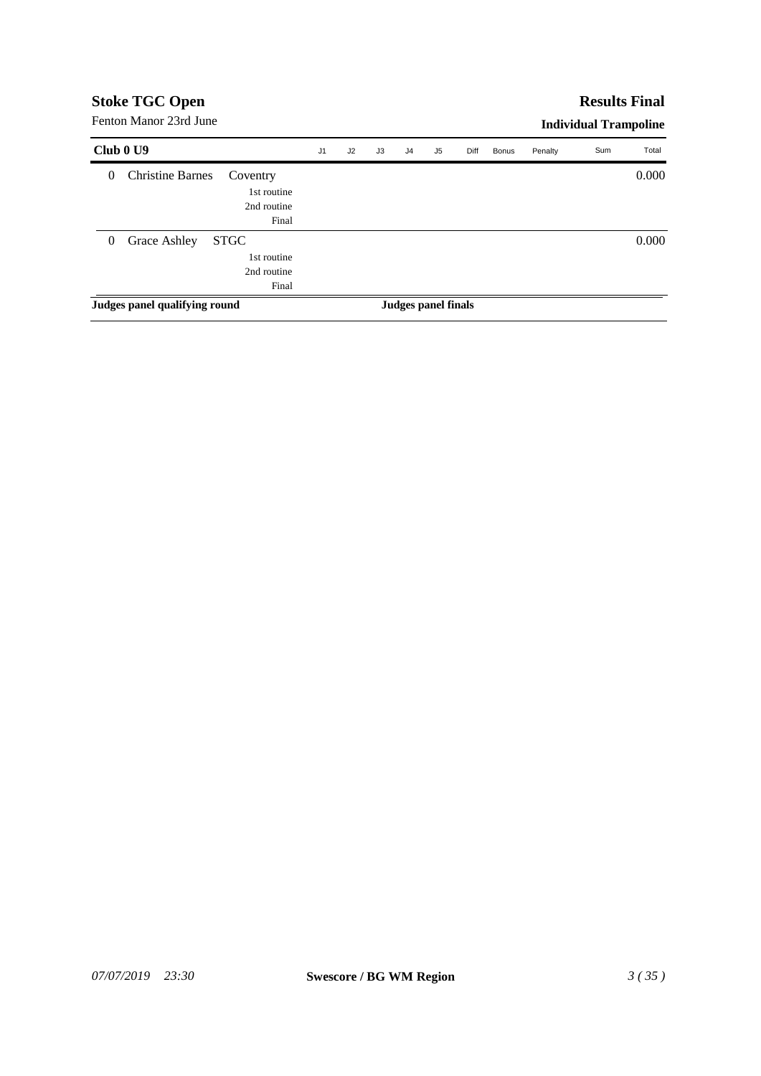# **Results Final**

Fenton Manor 23rd June

| Club 0 U9    |                               |                                                    | J <sub>1</sub> | J2 | J3 | J4 | J5                  | Diff | <b>Bonus</b> | Penalty | Sum | Total |
|--------------|-------------------------------|----------------------------------------------------|----------------|----|----|----|---------------------|------|--------------|---------|-----|-------|
| $\theta$     | <b>Christine Barnes</b>       | Coventry<br>1st routine<br>2nd routine<br>Final    |                |    |    |    |                     |      |              |         |     | 0.000 |
| $\mathbf{0}$ | Grace Ashley                  | <b>STGC</b><br>1st routine<br>2nd routine<br>Final |                |    |    |    |                     |      |              |         |     | 0.000 |
|              | Judges panel qualifying round |                                                    |                |    |    |    | Judges panel finals |      |              |         |     |       |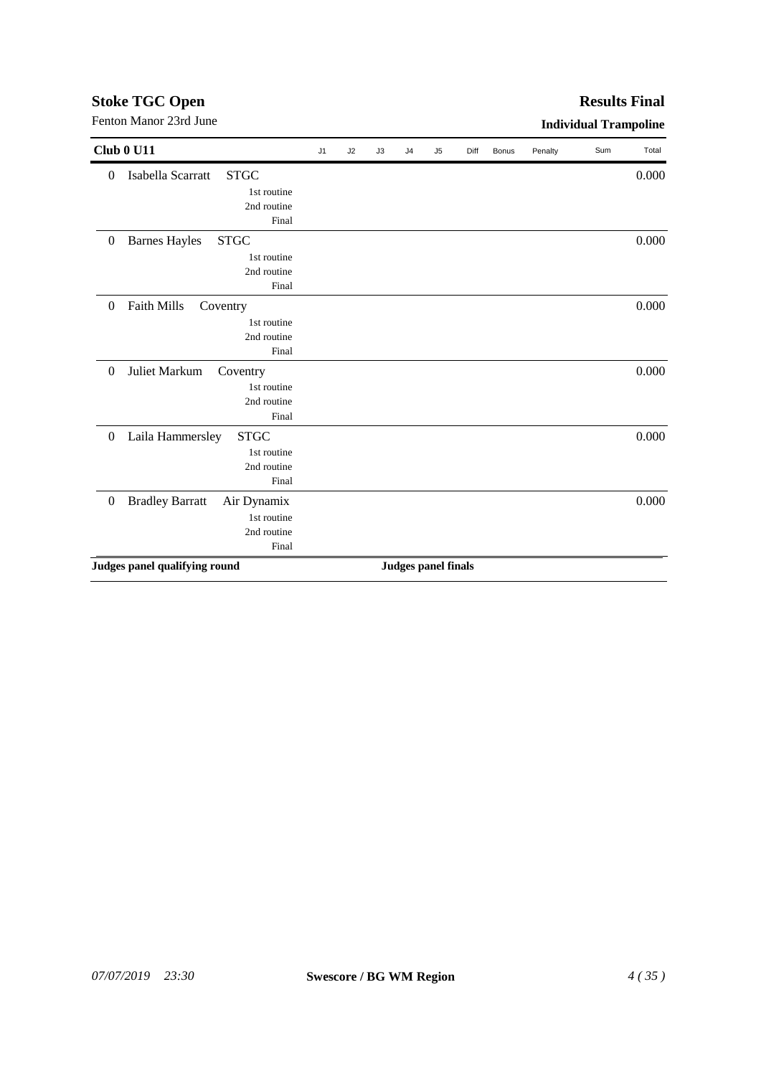| Isabella Scarratt<br><b>STGC</b><br>$\boldsymbol{0}$<br>1st routine<br>2nd routine<br>Final<br>$\boldsymbol{0}$<br><b>Barnes Hayles</b><br><b>STGC</b><br>1st routine<br>2nd routine<br>Final<br>Faith Mills<br>$\boldsymbol{0}$<br>Coventry<br>1st routine<br>2nd routine |  |  |  |  |       |
|----------------------------------------------------------------------------------------------------------------------------------------------------------------------------------------------------------------------------------------------------------------------------|--|--|--|--|-------|
|                                                                                                                                                                                                                                                                            |  |  |  |  | 0.000 |
|                                                                                                                                                                                                                                                                            |  |  |  |  |       |
|                                                                                                                                                                                                                                                                            |  |  |  |  |       |
|                                                                                                                                                                                                                                                                            |  |  |  |  |       |
|                                                                                                                                                                                                                                                                            |  |  |  |  | 0.000 |
|                                                                                                                                                                                                                                                                            |  |  |  |  |       |
|                                                                                                                                                                                                                                                                            |  |  |  |  |       |
|                                                                                                                                                                                                                                                                            |  |  |  |  |       |
|                                                                                                                                                                                                                                                                            |  |  |  |  | 0.000 |
|                                                                                                                                                                                                                                                                            |  |  |  |  |       |
|                                                                                                                                                                                                                                                                            |  |  |  |  |       |
| Final                                                                                                                                                                                                                                                                      |  |  |  |  |       |
| $\boldsymbol{0}$<br>Juliet Markum<br>Coventry                                                                                                                                                                                                                              |  |  |  |  | 0.000 |
| 1st routine                                                                                                                                                                                                                                                                |  |  |  |  |       |
| 2nd routine                                                                                                                                                                                                                                                                |  |  |  |  |       |
| Final                                                                                                                                                                                                                                                                      |  |  |  |  |       |
| <b>STGC</b><br>Laila Hammersley<br>$\boldsymbol{0}$                                                                                                                                                                                                                        |  |  |  |  | 0.000 |
| 1st routine                                                                                                                                                                                                                                                                |  |  |  |  |       |
| 2nd routine                                                                                                                                                                                                                                                                |  |  |  |  |       |
| Final                                                                                                                                                                                                                                                                      |  |  |  |  |       |
| <b>Bradley Barratt</b><br>Air Dynamix<br>$\boldsymbol{0}$                                                                                                                                                                                                                  |  |  |  |  | 0.000 |
| 1st routine                                                                                                                                                                                                                                                                |  |  |  |  |       |
| 2nd routine                                                                                                                                                                                                                                                                |  |  |  |  |       |
| Final                                                                                                                                                                                                                                                                      |  |  |  |  |       |
| Judges panel qualifying round                                                                                                                                                                                                                                              |  |  |  |  |       |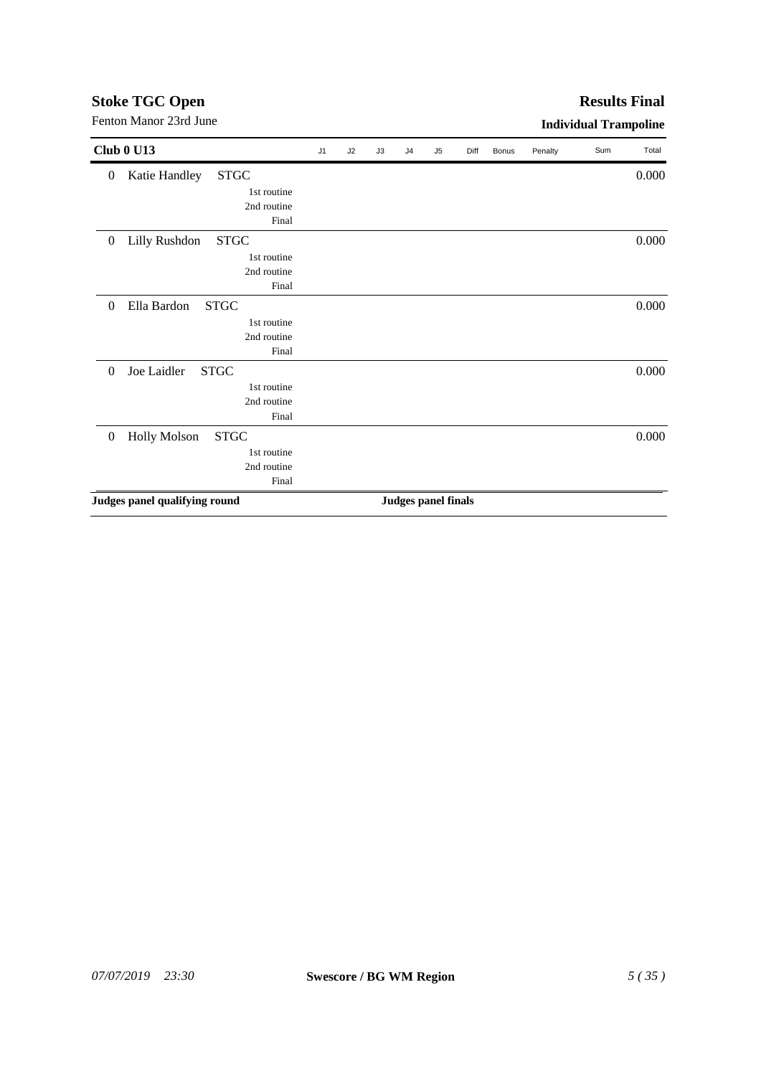# *07/07/2019 23:30* **Swescore / BG WM Region** *5 ( 35 )*

|                  | <b>Club 0 U13</b>                  |       | J <sub>1</sub> | J2 | J3 | J <sub>4</sub>             | J <sub>5</sub> | Diff | Bonus | Penalty | Sum | Total |
|------------------|------------------------------------|-------|----------------|----|----|----------------------------|----------------|------|-------|---------|-----|-------|
| $\boldsymbol{0}$ | <b>STGC</b><br>Katie Handley       |       |                |    |    |                            |                |      |       |         |     | 0.000 |
|                  | 1st routine                        |       |                |    |    |                            |                |      |       |         |     |       |
|                  | 2nd routine                        |       |                |    |    |                            |                |      |       |         |     |       |
|                  |                                    | Final |                |    |    |                            |                |      |       |         |     |       |
| $\boldsymbol{0}$ | Lilly Rushdon<br><b>STGC</b>       |       |                |    |    |                            |                |      |       |         |     | 0.000 |
|                  | 1st routine                        |       |                |    |    |                            |                |      |       |         |     |       |
|                  | 2nd routine                        |       |                |    |    |                            |                |      |       |         |     |       |
|                  |                                    | Final |                |    |    |                            |                |      |       |         |     |       |
| $\boldsymbol{0}$ | <b>STGC</b><br>Ella Bardon         |       |                |    |    |                            |                |      |       |         |     | 0.000 |
|                  | 1st routine                        |       |                |    |    |                            |                |      |       |         |     |       |
|                  | 2nd routine                        |       |                |    |    |                            |                |      |       |         |     |       |
|                  |                                    | Final |                |    |    |                            |                |      |       |         |     |       |
| $\boldsymbol{0}$ | <b>STGC</b><br>Joe Laidler         |       |                |    |    |                            |                |      |       |         |     | 0.000 |
|                  | 1st routine                        |       |                |    |    |                            |                |      |       |         |     |       |
|                  | 2nd routine                        |       |                |    |    |                            |                |      |       |         |     |       |
|                  |                                    | Final |                |    |    |                            |                |      |       |         |     |       |
| $\boldsymbol{0}$ | <b>Holly Molson</b><br><b>STGC</b> |       |                |    |    |                            |                |      |       |         |     | 0.000 |
|                  | 1st routine                        |       |                |    |    |                            |                |      |       |         |     |       |
|                  | 2nd routine                        |       |                |    |    |                            |                |      |       |         |     |       |
|                  |                                    | Final |                |    |    |                            |                |      |       |         |     |       |
|                  | Judges panel qualifying round      |       |                |    |    | <b>Judges panel finals</b> |                |      |       |         |     |       |

Fenton Manor 23rd June **Individual Trampoline** 

# **Stoke TGC Open**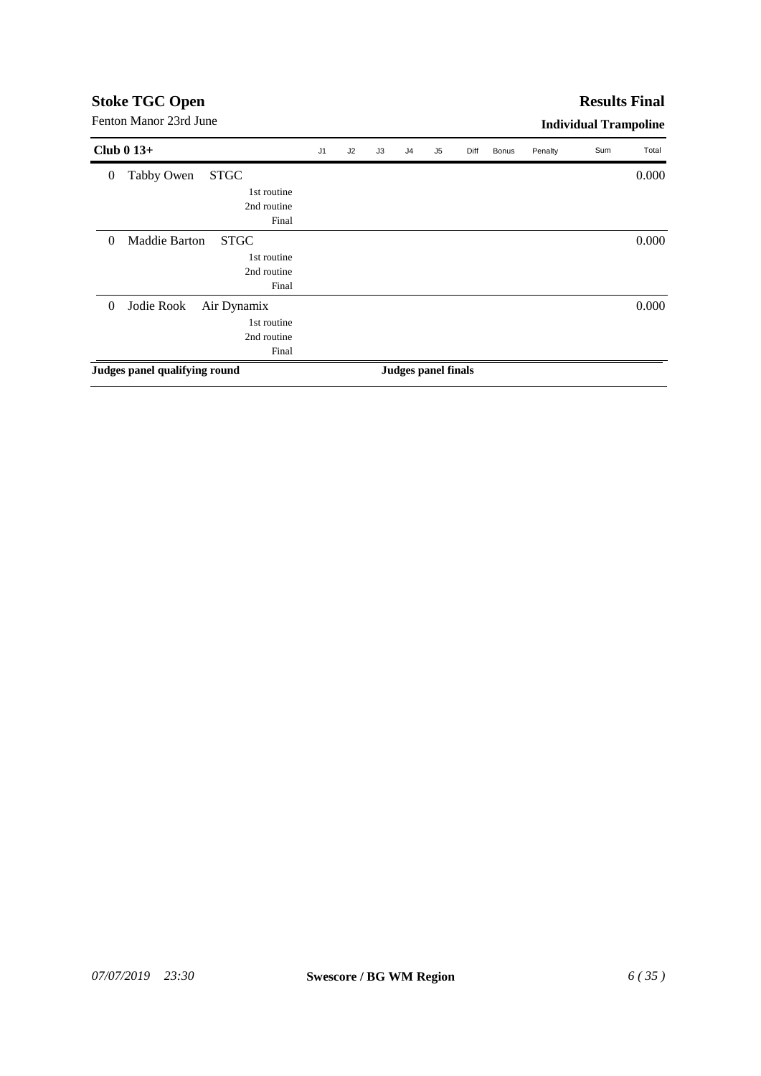#### **Results Final**

| 0.000<br>0.000             |
|----------------------------|
|                            |
|                            |
|                            |
|                            |
|                            |
|                            |
|                            |
|                            |
| 0.000                      |
|                            |
|                            |
|                            |
| <b>Judges panel finals</b> |
|                            |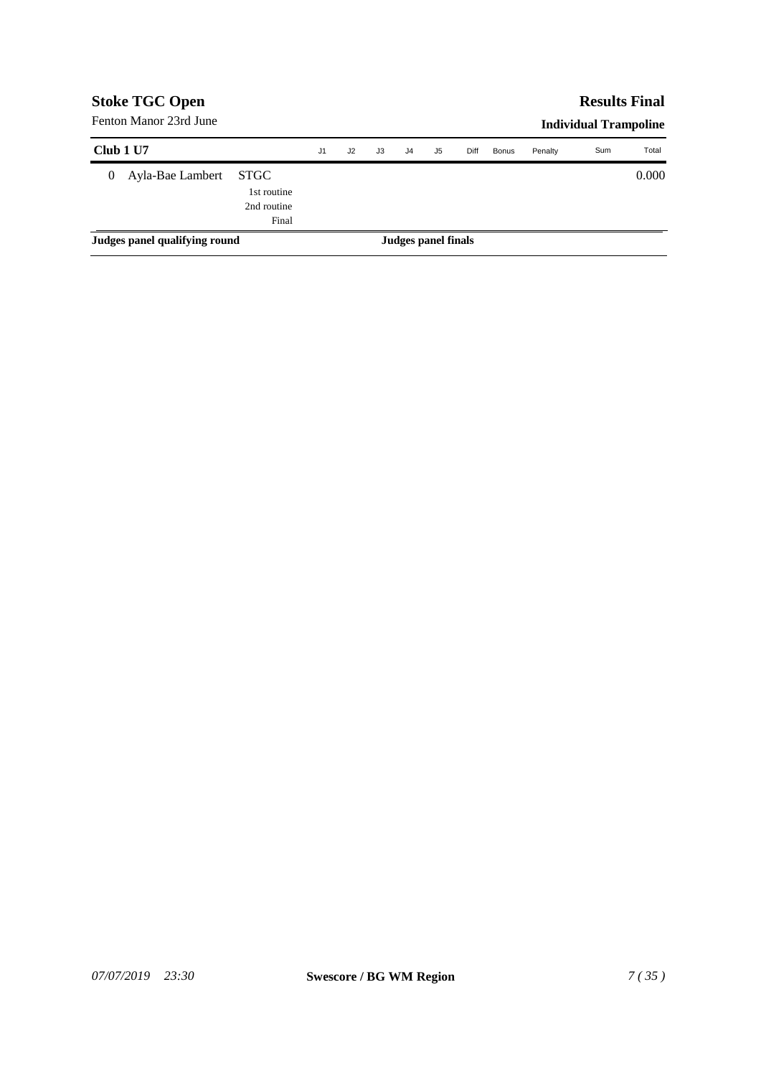|           | <b>Stoke TGC Open</b>         |                                                    |                |    |    |    |                     |      |              |         | <b>Results Final</b>         |       |
|-----------|-------------------------------|----------------------------------------------------|----------------|----|----|----|---------------------|------|--------------|---------|------------------------------|-------|
|           | Fenton Manor 23rd June        |                                                    |                |    |    |    |                     |      |              |         | <b>Individual Trampoline</b> |       |
| Club 1 U7 |                               |                                                    | J <sub>1</sub> | J2 | J3 | J4 | J5                  | Diff | <b>Bonus</b> | Penalty | Sum                          | Total |
| 0         | Ayla-Bae Lambert              | <b>STGC</b><br>1st routine<br>2nd routine<br>Final |                |    |    |    |                     |      |              |         |                              | 0.000 |
|           | Judges panel qualifying round |                                                    |                |    |    |    | Judges panel finals |      |              |         |                              |       |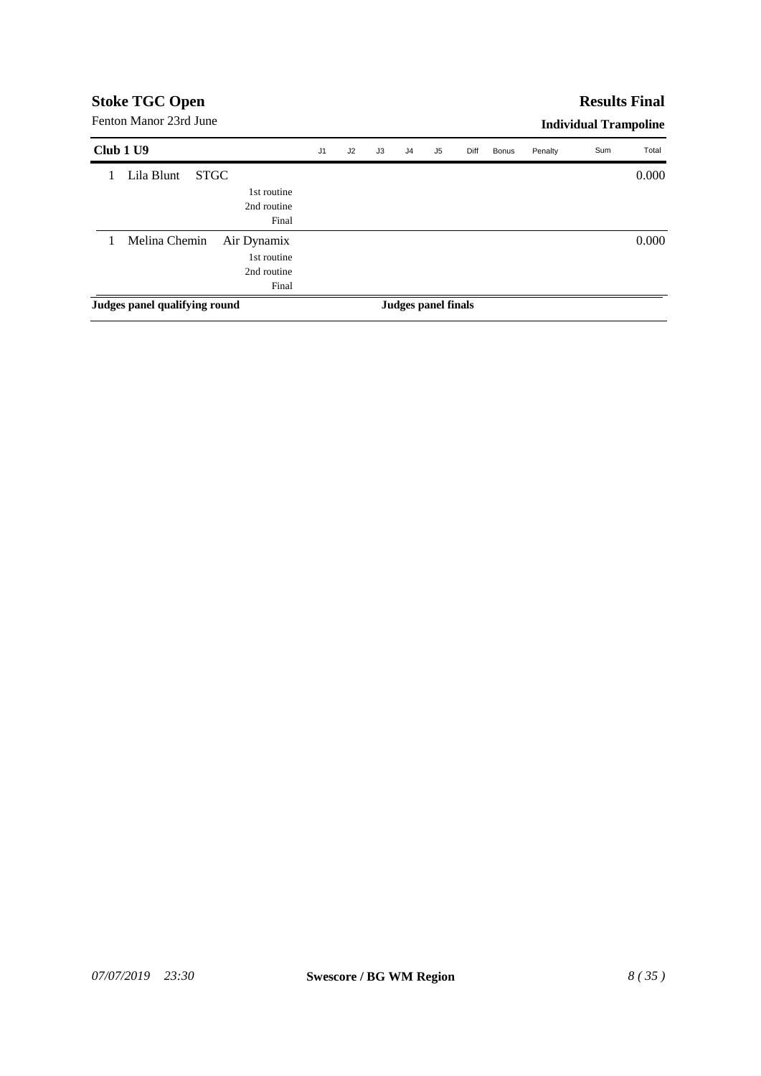# **Results Final**

Fenton Manor 23rd June

| Club 1 U9                     | J1 | J2 | J3 | J <sub>4</sub> | J5                  | Diff | Bonus | Penalty | Sum | Total |
|-------------------------------|----|----|----|----------------|---------------------|------|-------|---------|-----|-------|
| Lila Blunt<br><b>STGC</b>     |    |    |    |                |                     |      |       |         |     | 0.000 |
| 1st routine                   |    |    |    |                |                     |      |       |         |     |       |
| 2nd routine                   |    |    |    |                |                     |      |       |         |     |       |
| Final                         |    |    |    |                |                     |      |       |         |     |       |
| Melina Chemin<br>Air Dynamix  |    |    |    |                |                     |      |       |         |     | 0.000 |
| 1st routine                   |    |    |    |                |                     |      |       |         |     |       |
| 2nd routine                   |    |    |    |                |                     |      |       |         |     |       |
| Final                         |    |    |    |                |                     |      |       |         |     |       |
| Judges panel qualifying round |    |    |    |                | Judges panel finals |      |       |         |     |       |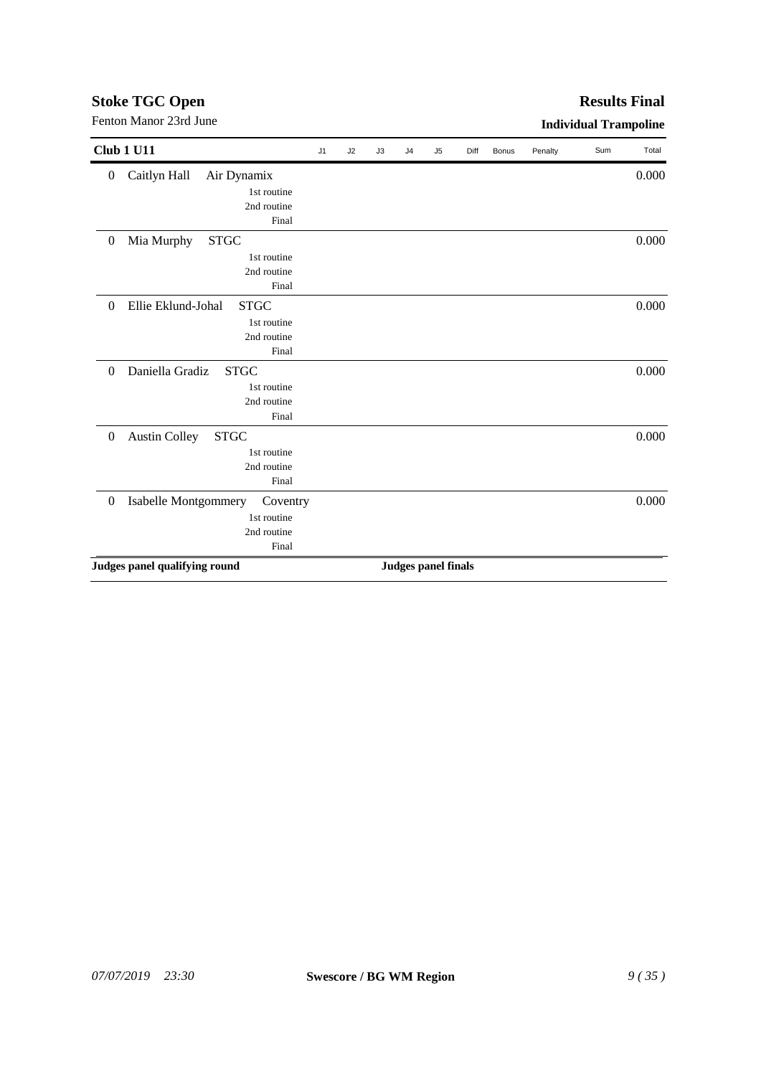| <b>Club 1 U11</b>                                     | J <sub>1</sub> | J2 | J3 | J <sub>4</sub> | J <sub>5</sub>             | Diff | <b>Bonus</b> | Penalty | Sum | Total |
|-------------------------------------------------------|----------------|----|----|----------------|----------------------------|------|--------------|---------|-----|-------|
| Caitlyn Hall<br>Air Dynamix<br>$\boldsymbol{0}$       |                |    |    |                |                            |      |              |         |     | 0.000 |
| 1st routine                                           |                |    |    |                |                            |      |              |         |     |       |
| 2nd routine                                           |                |    |    |                |                            |      |              |         |     |       |
| Final                                                 |                |    |    |                |                            |      |              |         |     |       |
| Mia Murphy<br><b>STGC</b><br>$\theta$                 |                |    |    |                |                            |      |              |         |     | 0.000 |
| 1st routine                                           |                |    |    |                |                            |      |              |         |     |       |
| 2nd routine                                           |                |    |    |                |                            |      |              |         |     |       |
| Final                                                 |                |    |    |                |                            |      |              |         |     |       |
| Ellie Eklund-Johal<br><b>STGC</b><br>$\Omega$         |                |    |    |                |                            |      |              |         |     | 0.000 |
| 1st routine                                           |                |    |    |                |                            |      |              |         |     |       |
| 2nd routine                                           |                |    |    |                |                            |      |              |         |     |       |
| Final                                                 |                |    |    |                |                            |      |              |         |     |       |
| Daniella Gradiz<br><b>STGC</b><br>$\Omega$            |                |    |    |                |                            |      |              |         |     | 0.000 |
| 1st routine                                           |                |    |    |                |                            |      |              |         |     |       |
| 2nd routine                                           |                |    |    |                |                            |      |              |         |     |       |
| Final                                                 |                |    |    |                |                            |      |              |         |     |       |
| <b>Austin Colley</b><br><b>STGC</b><br>$\overline{0}$ |                |    |    |                |                            |      |              |         |     | 0.000 |
| 1st routine                                           |                |    |    |                |                            |      |              |         |     |       |
| 2nd routine                                           |                |    |    |                |                            |      |              |         |     |       |
| Final                                                 |                |    |    |                |                            |      |              |         |     |       |
| Isabelle Montgommery<br>$\boldsymbol{0}$<br>Coventry  |                |    |    |                |                            |      |              |         |     | 0.000 |
| 1st routine                                           |                |    |    |                |                            |      |              |         |     |       |
| 2nd routine                                           |                |    |    |                |                            |      |              |         |     |       |
| Final                                                 |                |    |    |                |                            |      |              |         |     |       |
| Judges panel qualifying round                         |                |    |    |                | <b>Judges panel finals</b> |      |              |         |     |       |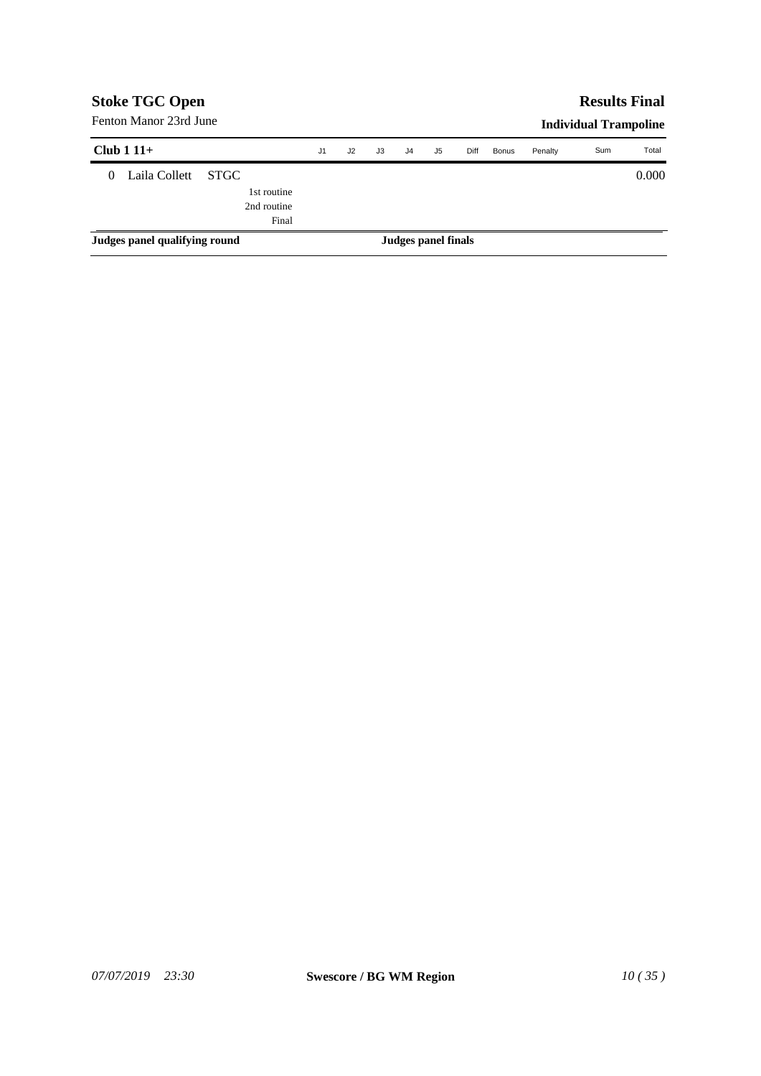| <b>Stoke TGC Open</b> |                               |             |                     |    |    |                |    |      |              |         |                              | <b>Results Final</b> |
|-----------------------|-------------------------------|-------------|---------------------|----|----|----------------|----|------|--------------|---------|------------------------------|----------------------|
|                       | Fenton Manor 23rd June        |             |                     |    |    |                |    |      |              |         | <b>Individual Trampoline</b> |                      |
|                       | Club $111+$                   |             | J <sub>1</sub>      | J2 | J3 | J <sub>4</sub> | J5 | Diff | <b>Bonus</b> | Penalty | Sum                          | Total                |
| $\Omega$              | Laila Collett                 | <b>STGC</b> |                     |    |    |                |    |      |              |         |                              | 0.000                |
|                       |                               | 1st routine |                     |    |    |                |    |      |              |         |                              |                      |
|                       |                               | 2nd routine |                     |    |    |                |    |      |              |         |                              |                      |
|                       |                               | Final       |                     |    |    |                |    |      |              |         |                              |                      |
|                       | Judges panel qualifying round |             | Judges panel finals |    |    |                |    |      |              |         |                              |                      |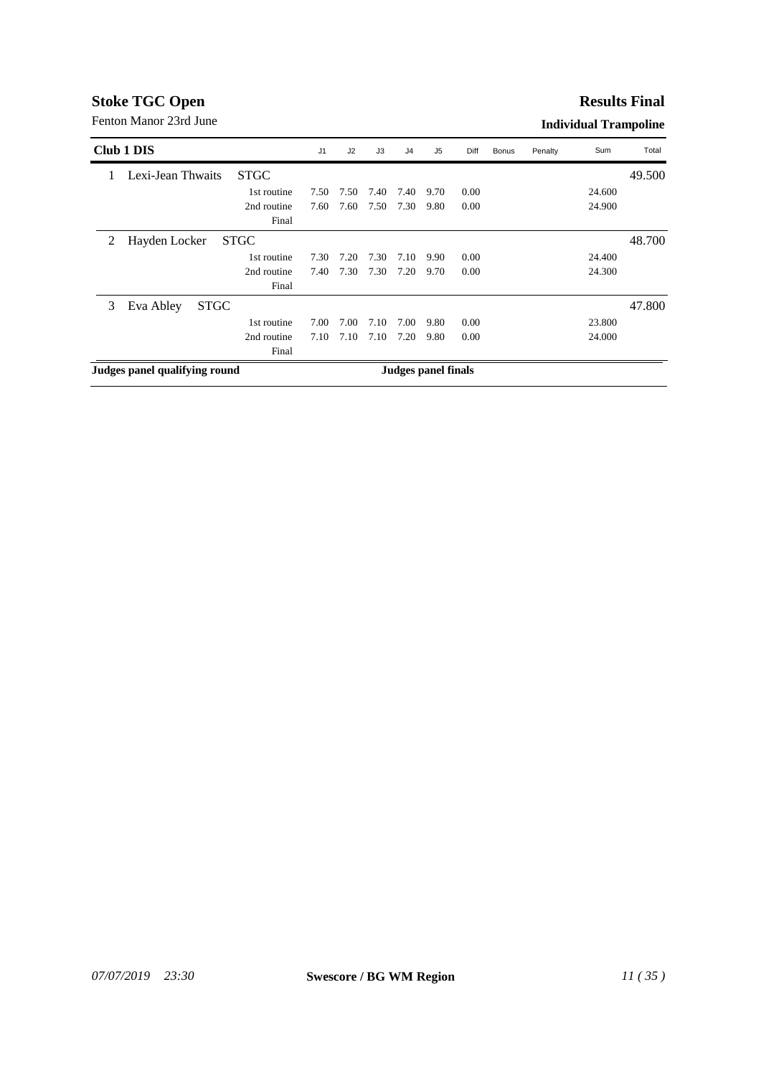#### **Results Final**

|   | Club 1 DIS                    |             | J <sub>1</sub> | J2   | J3   | J4   | J <sub>5</sub>      | Diff | Bonus | Penalty | Sum    | Total  |
|---|-------------------------------|-------------|----------------|------|------|------|---------------------|------|-------|---------|--------|--------|
|   | Lexi-Jean Thwaits             | <b>STGC</b> |                |      |      |      |                     |      |       |         |        | 49.500 |
|   |                               | 1st routine | 7.50           | 7.50 | 7.40 | 7.40 | 9.70                | 0.00 |       |         | 24.600 |        |
|   |                               | 2nd routine | 7.60           | 7.60 | 7.50 | 7.30 | 9.80                | 0.00 |       |         | 24.900 |        |
|   |                               | Final       |                |      |      |      |                     |      |       |         |        |        |
| 2 | Hayden Locker                 | <b>STGC</b> |                |      |      |      |                     |      |       |         |        | 48.700 |
|   |                               | 1st routine | 7.30           | 7.20 | 7.30 | 7.10 | 9.90                | 0.00 |       |         | 24.400 |        |
|   |                               | 2nd routine | 7.40           | 7.30 | 7.30 | 7.20 | 9.70                | 0.00 |       |         | 24.300 |        |
|   |                               | Final       |                |      |      |      |                     |      |       |         |        |        |
| 3 | <b>STGC</b><br>Eva Abley      |             |                |      |      |      |                     |      |       |         |        | 47.800 |
|   |                               | 1st routine | 7.00           | 7.00 | 7.10 | 7.00 | 9.80                | 0.00 |       |         | 23.800 |        |
|   |                               | 2nd routine | 7.10           | 7.10 | 7.10 | 7.20 | 9.80                | 0.00 |       |         | 24.000 |        |
|   |                               | Final       |                |      |      |      |                     |      |       |         |        |        |
|   | Judges panel qualifying round |             |                |      |      |      | Judges panel finals |      |       |         |        |        |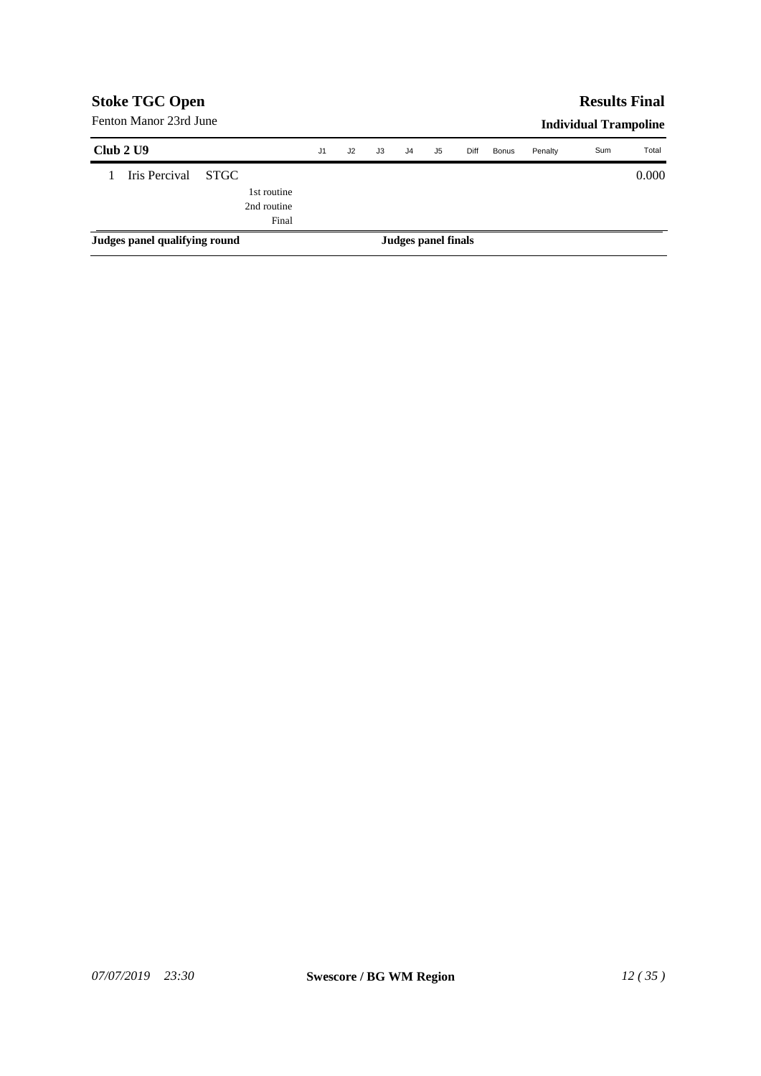| <b>Stoke TGC Open</b>         |             | <b>Results Final</b> |                |                     |    |                |    |      |              |         |                              |       |
|-------------------------------|-------------|----------------------|----------------|---------------------|----|----------------|----|------|--------------|---------|------------------------------|-------|
| Fenton Manor 23rd June        |             |                      |                |                     |    |                |    |      |              |         | <b>Individual Trampoline</b> |       |
| Club 2 U9                     |             |                      | J <sub>1</sub> | J2                  | J3 | J <sub>4</sub> | J5 | Diff | <b>Bonus</b> | Penalty | Sum                          | Total |
| Iris Percival                 | <b>STGC</b> |                      |                |                     |    |                |    |      |              |         |                              | 0.000 |
|                               |             | 1st routine          |                |                     |    |                |    |      |              |         |                              |       |
|                               |             | 2nd routine          |                |                     |    |                |    |      |              |         |                              |       |
|                               |             | Final                |                |                     |    |                |    |      |              |         |                              |       |
| Judges panel qualifying round |             |                      |                | Judges panel finals |    |                |    |      |              |         |                              |       |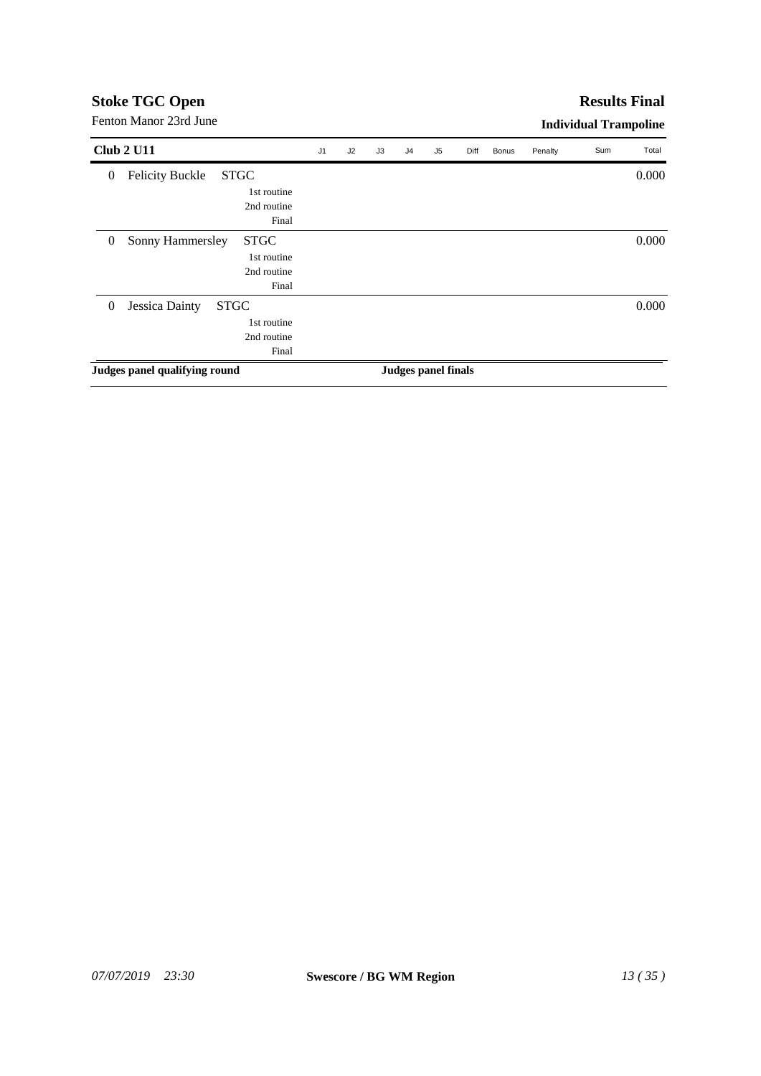| J <sub>1</sub> | J2 | J3 | J <sub>4</sub> | J5 | Diff | <b>Bonus</b>        | Penalty | Sum | Total                        |
|----------------|----|----|----------------|----|------|---------------------|---------|-----|------------------------------|
|                |    |    |                |    |      |                     |         |     | 0.000                        |
|                |    |    |                |    |      |                     |         |     |                              |
|                |    |    |                |    |      |                     |         |     |                              |
|                |    |    |                |    |      |                     |         |     |                              |
|                |    |    |                |    |      |                     |         |     | 0.000                        |
|                |    |    |                |    |      |                     |         |     |                              |
|                |    |    |                |    |      |                     |         |     |                              |
|                |    |    |                |    |      |                     |         |     |                              |
|                |    |    |                |    |      |                     |         |     | 0.000                        |
|                |    |    |                |    |      |                     |         |     |                              |
|                |    |    |                |    |      |                     |         |     |                              |
|                |    |    |                |    |      |                     |         |     |                              |
|                |    |    |                |    |      |                     |         |     |                              |
|                |    |    |                |    |      | Judges panel finals |         |     | <b>Individual Trampoline</b> |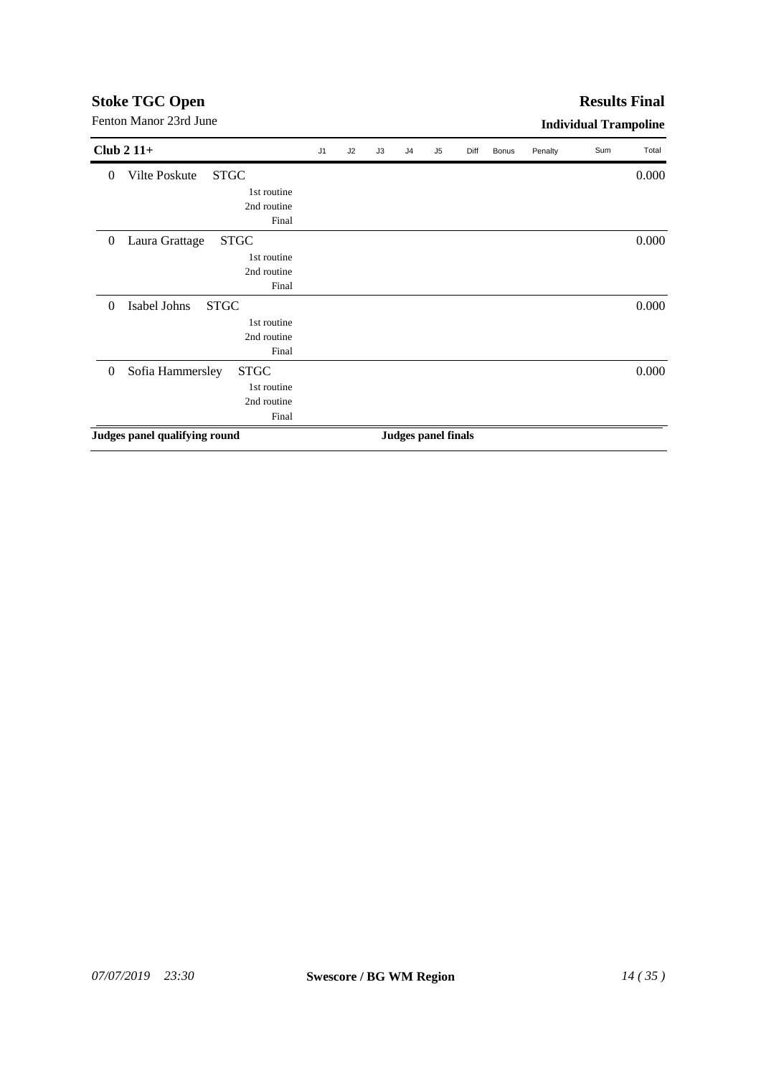#### **Results Final**

| Club $211+$                                 | J <sub>1</sub> | J2 | J3 | J <sub>4</sub>             | J5 | Diff | <b>Bonus</b> | Penalty | Sum | Total |
|---------------------------------------------|----------------|----|----|----------------------------|----|------|--------------|---------|-----|-------|
| Vilte Poskute<br><b>STGC</b><br>$\theta$    |                |    |    |                            |    |      |              |         |     | 0.000 |
| 1st routine                                 |                |    |    |                            |    |      |              |         |     |       |
| 2nd routine                                 |                |    |    |                            |    |      |              |         |     |       |
| Final                                       |                |    |    |                            |    |      |              |         |     |       |
| <b>STGC</b><br>Laura Grattage<br>$\theta$   |                |    |    |                            |    |      |              |         |     | 0.000 |
| 1st routine                                 |                |    |    |                            |    |      |              |         |     |       |
| 2nd routine                                 |                |    |    |                            |    |      |              |         |     |       |
| Final                                       |                |    |    |                            |    |      |              |         |     |       |
| Isabel Johns<br><b>STGC</b><br>$\theta$     |                |    |    |                            |    |      |              |         |     | 0.000 |
| 1st routine                                 |                |    |    |                            |    |      |              |         |     |       |
| 2nd routine                                 |                |    |    |                            |    |      |              |         |     |       |
| Final                                       |                |    |    |                            |    |      |              |         |     |       |
| Sofia Hammersley<br><b>STGC</b><br>$\theta$ |                |    |    |                            |    |      |              |         |     | 0.000 |
| 1st routine                                 |                |    |    |                            |    |      |              |         |     |       |
| 2nd routine                                 |                |    |    |                            |    |      |              |         |     |       |
| Final                                       |                |    |    |                            |    |      |              |         |     |       |
| Judges panel qualifying round               |                |    |    | <b>Judges panel finals</b> |    |      |              |         |     |       |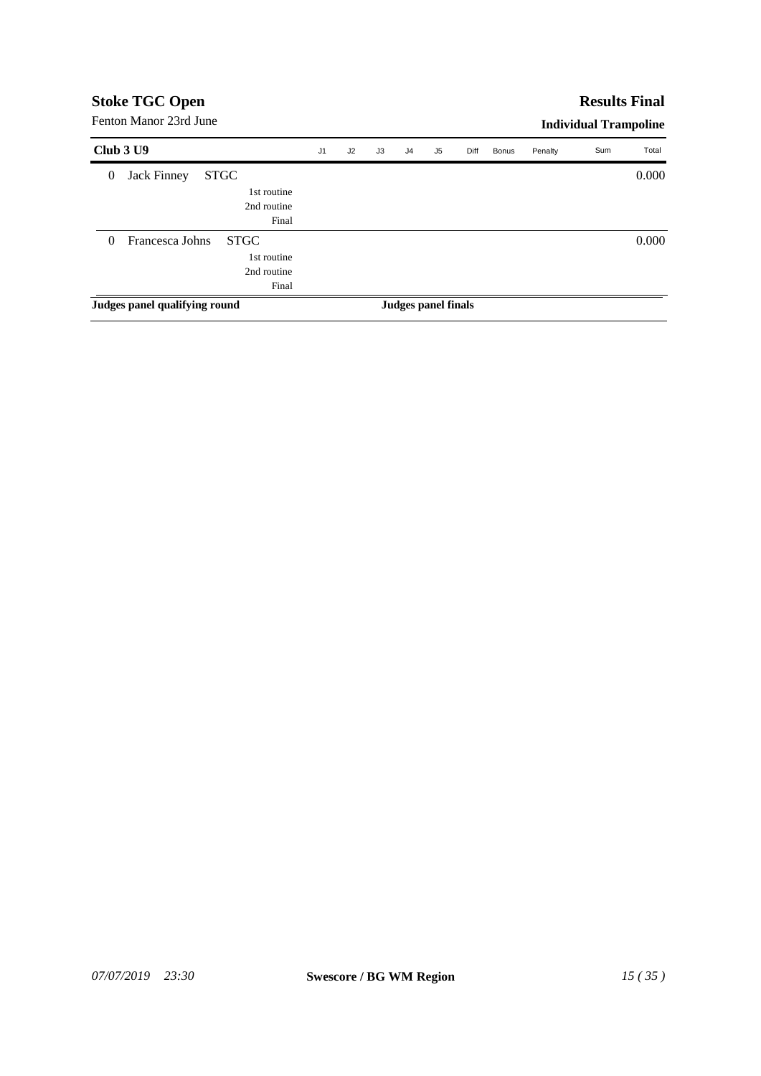### **Results Final**

|                  | Club 3 U9                     |             |             | J <sub>1</sub> | J2 | J3 | J <sub>4</sub> | J <sub>5</sub>      | Diff | Bonus | Penalty | Sum | Total |
|------------------|-------------------------------|-------------|-------------|----------------|----|----|----------------|---------------------|------|-------|---------|-----|-------|
| $\boldsymbol{0}$ | <b>Jack Finney</b>            | <b>STGC</b> |             |                |    |    |                |                     |      |       |         |     | 0.000 |
|                  |                               |             | 1st routine |                |    |    |                |                     |      |       |         |     |       |
|                  |                               |             | 2nd routine |                |    |    |                |                     |      |       |         |     |       |
|                  |                               |             | Final       |                |    |    |                |                     |      |       |         |     |       |
| $\theta$         | Francesca Johns               |             | <b>STGC</b> |                |    |    |                |                     |      |       |         |     | 0.000 |
|                  |                               |             | 1st routine |                |    |    |                |                     |      |       |         |     |       |
|                  |                               |             | 2nd routine |                |    |    |                |                     |      |       |         |     |       |
|                  |                               |             | Final       |                |    |    |                |                     |      |       |         |     |       |
|                  | Judges panel qualifying round |             |             |                |    |    |                | Judges panel finals |      |       |         |     |       |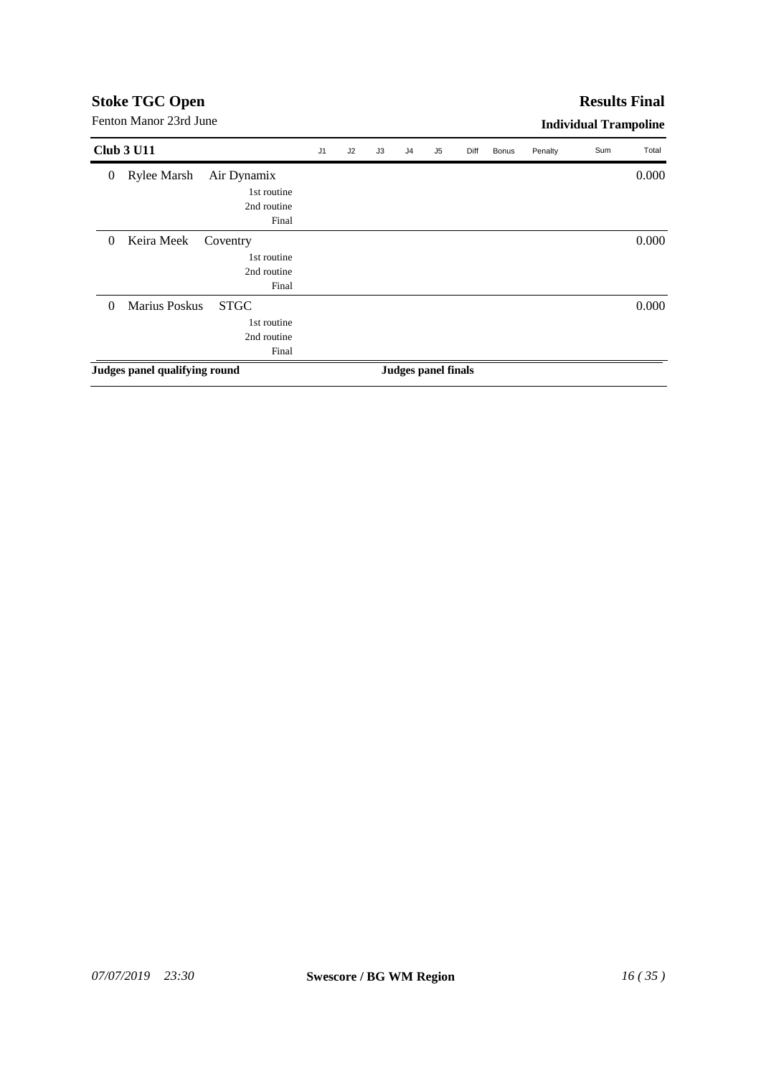# **Stoke TGC Open**<br>Fenton Manor 23rd June

| <b>Club 3 U11</b>                               | J <sub>1</sub> | J2 | J3 | J <sub>4</sub> | J <sub>5</sub>      | Diff | <b>Bonus</b> | Penalty | Sum | Total |
|-------------------------------------------------|----------------|----|----|----------------|---------------------|------|--------------|---------|-----|-------|
| Rylee Marsh<br>Air Dynamix<br>$\boldsymbol{0}$  |                |    |    |                |                     |      |              |         |     | 0.000 |
| 1st routine                                     |                |    |    |                |                     |      |              |         |     |       |
| 2nd routine                                     |                |    |    |                |                     |      |              |         |     |       |
|                                                 | Final          |    |    |                |                     |      |              |         |     |       |
| Keira Meek<br>$\theta$<br>Coventry              |                |    |    |                |                     |      |              |         |     | 0.000 |
| 1st routine                                     |                |    |    |                |                     |      |              |         |     |       |
| 2nd routine                                     |                |    |    |                |                     |      |              |         |     |       |
|                                                 | Final          |    |    |                |                     |      |              |         |     |       |
| <b>Marius Poskus</b><br><b>STGC</b><br>$\Omega$ |                |    |    |                |                     |      |              |         |     | 0.000 |
| 1st routine                                     |                |    |    |                |                     |      |              |         |     |       |
| 2nd routine                                     |                |    |    |                |                     |      |              |         |     |       |
|                                                 | Final          |    |    |                |                     |      |              |         |     |       |
| Judges panel qualifying round                   |                |    |    |                | Judges panel finals |      |              |         |     |       |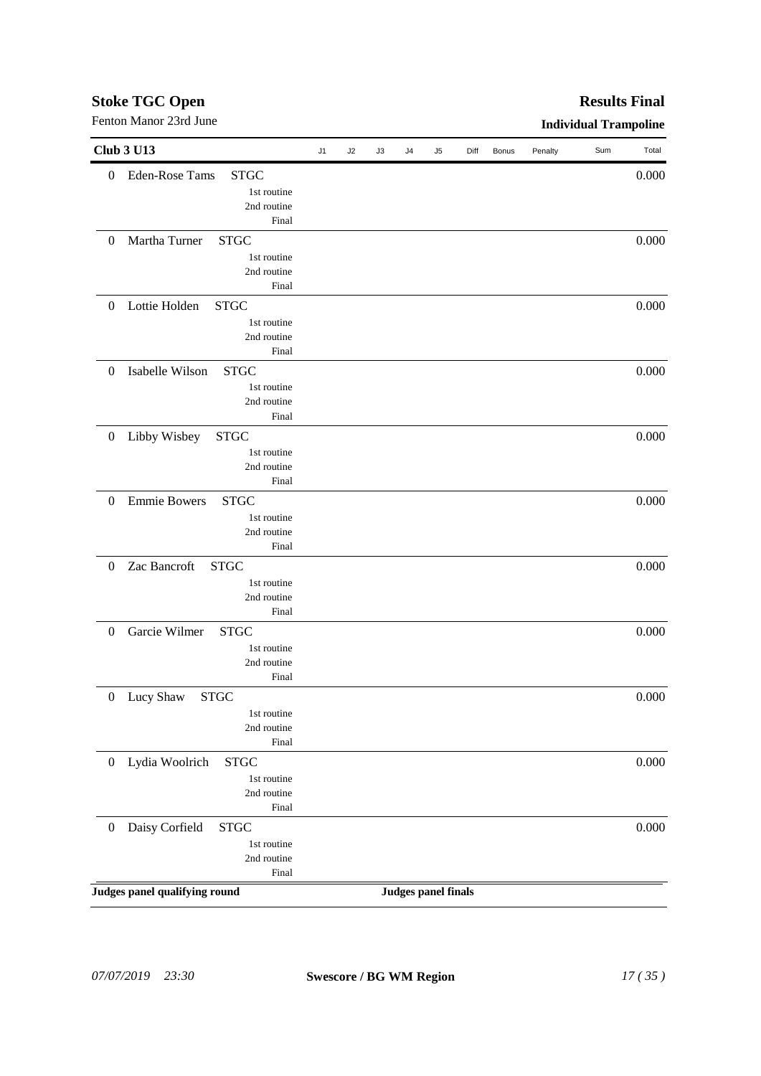# *07/07/2019 23:30* **Swescore / BG WM Region** *17 ( 35 )*

| <b>Stoke TGC Open</b>  | <b>Results Final</b>  |
|------------------------|-----------------------|
| Fenton Manor 23rd June | Individual Trampoline |

| <b>Club 3 U13</b>                                        | J1 | J2 | J3 | J4                         | J5 | Diff | <b>Bonus</b> | Penalty | Sum | Total |
|----------------------------------------------------------|----|----|----|----------------------------|----|------|--------------|---------|-----|-------|
| <b>Eden-Rose Tams</b><br><b>STGC</b><br>$\boldsymbol{0}$ |    |    |    |                            |    |      |              |         |     | 0.000 |
| 1st routine                                              |    |    |    |                            |    |      |              |         |     |       |
| 2nd routine                                              |    |    |    |                            |    |      |              |         |     |       |
| Final                                                    |    |    |    |                            |    |      |              |         |     |       |
| Martha Turner<br><b>STGC</b><br>$\boldsymbol{0}$         |    |    |    |                            |    |      |              |         |     | 0.000 |
|                                                          |    |    |    |                            |    |      |              |         |     |       |
| 1st routine                                              |    |    |    |                            |    |      |              |         |     |       |
| 2nd routine                                              |    |    |    |                            |    |      |              |         |     |       |
| Final                                                    |    |    |    |                            |    |      |              |         |     |       |
| Lottie Holden<br><b>STGC</b><br>$\boldsymbol{0}$         |    |    |    |                            |    |      |              |         |     | 0.000 |
| 1st routine                                              |    |    |    |                            |    |      |              |         |     |       |
| 2nd routine                                              |    |    |    |                            |    |      |              |         |     |       |
| Final                                                    |    |    |    |                            |    |      |              |         |     |       |
| Isabelle Wilson<br><b>STGC</b><br>$\boldsymbol{0}$       |    |    |    |                            |    |      |              |         |     | 0.000 |
| 1st routine                                              |    |    |    |                            |    |      |              |         |     |       |
| 2nd routine                                              |    |    |    |                            |    |      |              |         |     |       |
| Final                                                    |    |    |    |                            |    |      |              |         |     |       |
| Libby Wisbey<br>$\boldsymbol{0}$<br><b>STGC</b>          |    |    |    |                            |    |      |              |         |     | 0.000 |
| 1st routine                                              |    |    |    |                            |    |      |              |         |     |       |
| 2nd routine                                              |    |    |    |                            |    |      |              |         |     |       |
| Final                                                    |    |    |    |                            |    |      |              |         |     |       |
| $\boldsymbol{0}$<br><b>Emmie Bowers</b><br><b>STGC</b>   |    |    |    |                            |    |      |              |         |     | 0.000 |
| 1st routine                                              |    |    |    |                            |    |      |              |         |     |       |
| 2nd routine                                              |    |    |    |                            |    |      |              |         |     |       |
| Final                                                    |    |    |    |                            |    |      |              |         |     |       |
| Zac Bancroft<br><b>STGC</b><br>$\boldsymbol{0}$          |    |    |    |                            |    |      |              |         |     | 0.000 |
| 1st routine                                              |    |    |    |                            |    |      |              |         |     |       |
| 2nd routine                                              |    |    |    |                            |    |      |              |         |     |       |
| Final                                                    |    |    |    |                            |    |      |              |         |     |       |
| Garcie Wilmer<br>$\boldsymbol{0}$<br><b>STGC</b>         |    |    |    |                            |    |      |              |         |     | 0.000 |
|                                                          |    |    |    |                            |    |      |              |         |     |       |
| 1st routine                                              |    |    |    |                            |    |      |              |         |     |       |
| 2nd routine                                              |    |    |    |                            |    |      |              |         |     |       |
| Final                                                    |    |    |    |                            |    |      |              |         |     |       |
| 0 Lucy Shaw<br><b>STGC</b>                               |    |    |    |                            |    |      |              |         |     | 0.000 |
| 1st routine                                              |    |    |    |                            |    |      |              |         |     |       |
| 2nd routine                                              |    |    |    |                            |    |      |              |         |     |       |
| Final                                                    |    |    |    |                            |    |      |              |         |     |       |
| Lydia Woolrich<br><b>STGC</b><br>$\boldsymbol{0}$        |    |    |    |                            |    |      |              |         |     | 0.000 |
| 1st routine                                              |    |    |    |                            |    |      |              |         |     |       |
| 2nd routine                                              |    |    |    |                            |    |      |              |         |     |       |
| Final                                                    |    |    |    |                            |    |      |              |         |     |       |
| Daisy Corfield<br><b>STGC</b><br>$\boldsymbol{0}$        |    |    |    |                            |    |      |              |         |     | 0.000 |
| 1st routine                                              |    |    |    |                            |    |      |              |         |     |       |
| 2nd routine                                              |    |    |    |                            |    |      |              |         |     |       |
| Final                                                    |    |    |    |                            |    |      |              |         |     |       |
| Judges panel qualifying round                            |    |    |    | <b>Judges panel finals</b> |    |      |              |         |     |       |
|                                                          |    |    |    |                            |    |      |              |         |     |       |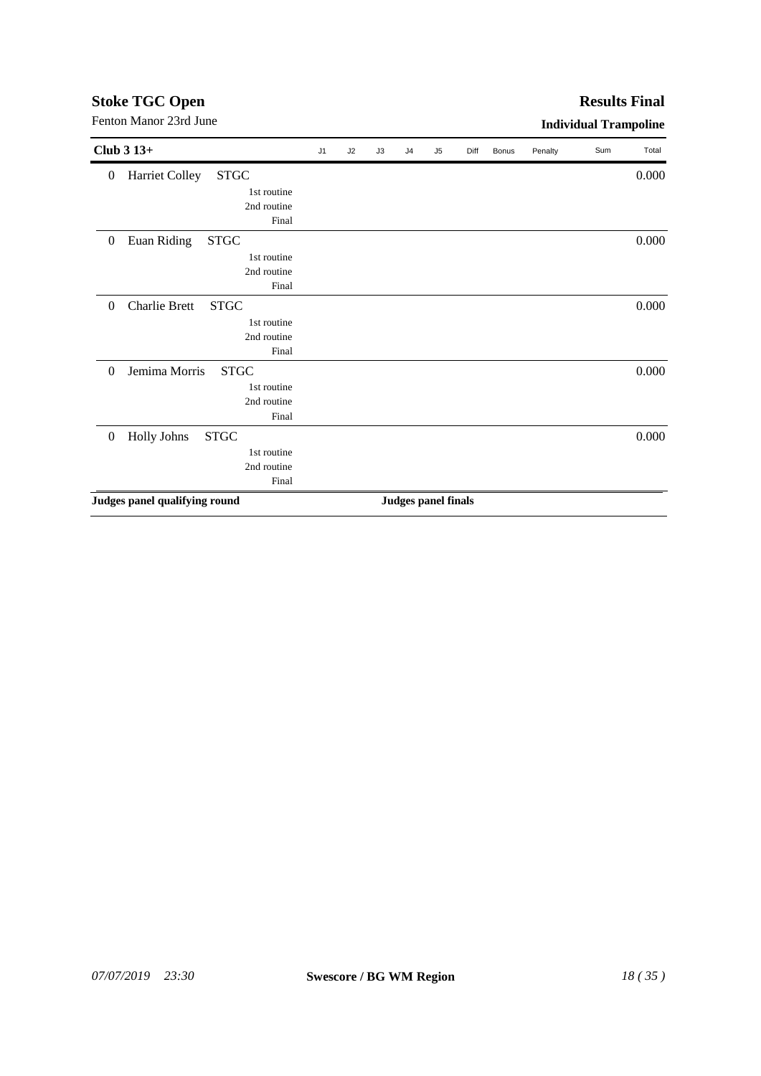| Club $313+$                                           | J1 | J2 | J3 | J <sub>4</sub> | J <sub>5</sub>             | Diff | <b>Bonus</b> | Penalty | Sum | Total |
|-------------------------------------------------------|----|----|----|----------------|----------------------------|------|--------------|---------|-----|-------|
| Harriet Colley<br><b>STGC</b><br>$\boldsymbol{0}$     |    |    |    |                |                            |      |              |         |     | 0.000 |
| 1st routine                                           |    |    |    |                |                            |      |              |         |     |       |
| 2nd routine                                           |    |    |    |                |                            |      |              |         |     |       |
| Final                                                 |    |    |    |                |                            |      |              |         |     |       |
| ${\rm STGC}$<br>Euan Riding<br>$\boldsymbol{0}$       |    |    |    |                |                            |      |              |         |     | 0.000 |
| 1st routine                                           |    |    |    |                |                            |      |              |         |     |       |
| 2nd routine                                           |    |    |    |                |                            |      |              |         |     |       |
| Final                                                 |    |    |    |                |                            |      |              |         |     |       |
| <b>Charlie Brett</b><br><b>STGC</b><br>$\theta$       |    |    |    |                |                            |      |              |         |     | 0.000 |
| 1st routine                                           |    |    |    |                |                            |      |              |         |     |       |
| 2nd routine                                           |    |    |    |                |                            |      |              |         |     |       |
| Final                                                 |    |    |    |                |                            |      |              |         |     |       |
| Jemima Morris<br><b>STGC</b><br>$\Omega$              |    |    |    |                |                            |      |              |         |     | 0.000 |
| 1st routine                                           |    |    |    |                |                            |      |              |         |     |       |
| 2nd routine                                           |    |    |    |                |                            |      |              |         |     |       |
| Final                                                 |    |    |    |                |                            |      |              |         |     |       |
| <b>Holly Johns</b><br><b>STGC</b><br>$\boldsymbol{0}$ |    |    |    |                |                            |      |              |         |     | 0.000 |
| 1st routine                                           |    |    |    |                |                            |      |              |         |     |       |
| 2nd routine                                           |    |    |    |                |                            |      |              |         |     |       |
| Final                                                 |    |    |    |                |                            |      |              |         |     |       |
| Judges panel qualifying round                         |    |    |    |                | <b>Judges panel finals</b> |      |              |         |     |       |

Fenton Manor 23rd June **Individual Trampoline** 

# **Stoke TGC Open**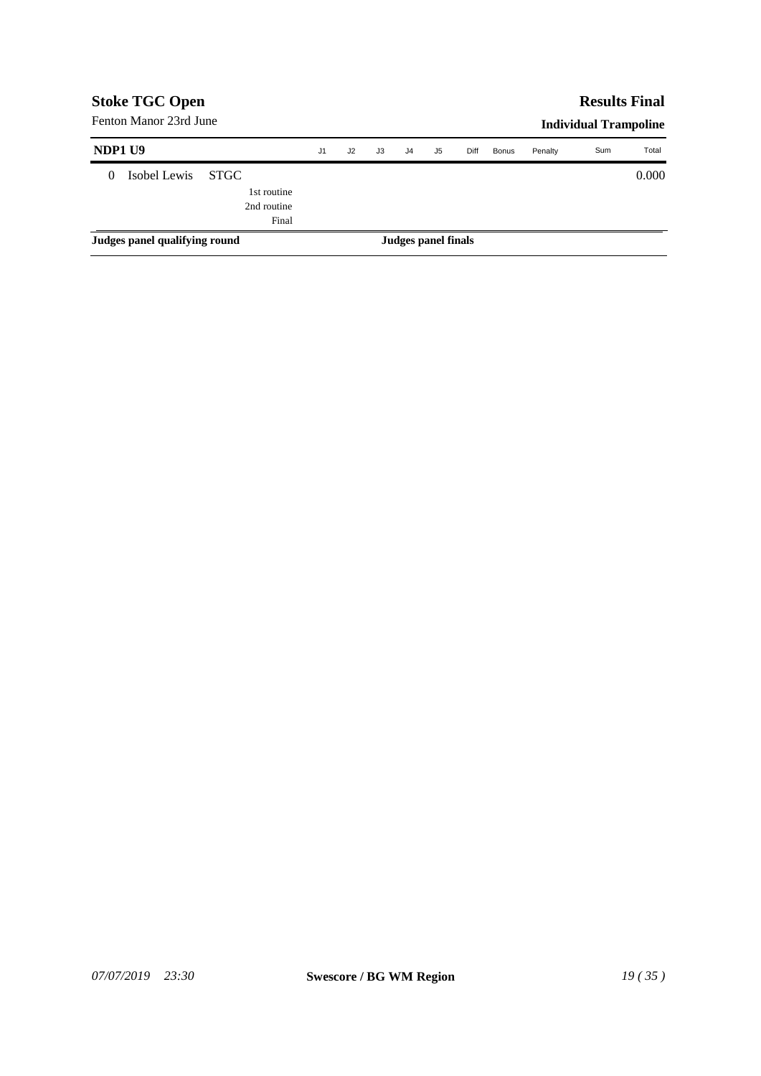|         | <b>Stoke TGC Open</b>         |             | <b>Results Final</b> |    |                     |                |    |      |              |         |                              |       |
|---------|-------------------------------|-------------|----------------------|----|---------------------|----------------|----|------|--------------|---------|------------------------------|-------|
|         | Fenton Manor 23rd June        |             |                      |    |                     |                |    |      |              |         | <b>Individual Trampoline</b> |       |
| NDP1 U9 |                               |             | J <sub>1</sub>       | J2 | J3                  | J <sub>4</sub> | J5 | Diff | <b>Bonus</b> | Penalty | Sum                          | Total |
| 0       | Isobel Lewis                  | <b>STGC</b> |                      |    |                     |                |    |      |              |         |                              | 0.000 |
|         |                               | 1st routine |                      |    |                     |                |    |      |              |         |                              |       |
|         |                               | 2nd routine |                      |    |                     |                |    |      |              |         |                              |       |
|         |                               | Final       |                      |    |                     |                |    |      |              |         |                              |       |
|         | Judges panel qualifying round |             |                      |    | Judges panel finals |                |    |      |              |         |                              |       |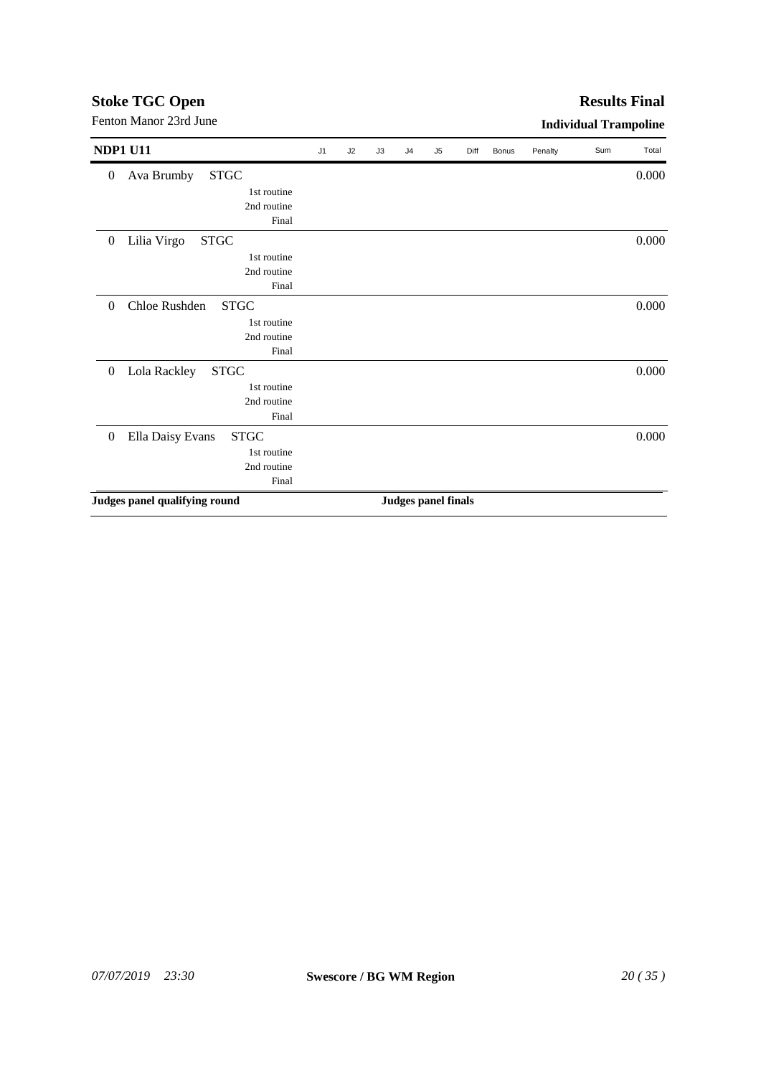| Fenton Manor 23rd June                              |    |    |    |                |                            |      |              |         | <b>Individual Trampoline</b> |       |
|-----------------------------------------------------|----|----|----|----------------|----------------------------|------|--------------|---------|------------------------------|-------|
| <b>NDP1 U11</b>                                     | J1 | J2 | J3 | J <sub>4</sub> | J <sub>5</sub>             | Diff | <b>Bonus</b> | Penalty | Sum                          | Total |
| <b>STGC</b><br>Ava Brumby<br>$\boldsymbol{0}$       |    |    |    |                |                            |      |              |         |                              | 0.000 |
| 1st routine                                         |    |    |    |                |                            |      |              |         |                              |       |
| 2nd routine                                         |    |    |    |                |                            |      |              |         |                              |       |
| Final                                               |    |    |    |                |                            |      |              |         |                              |       |
| Lilia Virgo<br><b>STGC</b><br>$\boldsymbol{0}$      |    |    |    |                |                            |      |              |         |                              | 0.000 |
| 1st routine                                         |    |    |    |                |                            |      |              |         |                              |       |
| 2nd routine                                         |    |    |    |                |                            |      |              |         |                              |       |
| Final                                               |    |    |    |                |                            |      |              |         |                              |       |
| Chloe Rushden<br><b>STGC</b><br>$\theta$            |    |    |    |                |                            |      |              |         |                              | 0.000 |
| 1st routine                                         |    |    |    |                |                            |      |              |         |                              |       |
| 2nd routine                                         |    |    |    |                |                            |      |              |         |                              |       |
| Final                                               |    |    |    |                |                            |      |              |         |                              |       |
| Lola Rackley<br><b>STGC</b><br>$\overline{0}$       |    |    |    |                |                            |      |              |         |                              | 0.000 |
| 1st routine                                         |    |    |    |                |                            |      |              |         |                              |       |
| 2nd routine                                         |    |    |    |                |                            |      |              |         |                              |       |
| Final                                               |    |    |    |                |                            |      |              |         |                              |       |
| <b>STGC</b><br>Ella Daisy Evans<br>$\boldsymbol{0}$ |    |    |    |                |                            |      |              |         |                              | 0.000 |
| 1st routine                                         |    |    |    |                |                            |      |              |         |                              |       |
| 2nd routine                                         |    |    |    |                |                            |      |              |         |                              |       |
| Final                                               |    |    |    |                |                            |      |              |         |                              |       |
| Judges panel qualifying round                       |    |    |    |                | <b>Judges panel finals</b> |      |              |         |                              |       |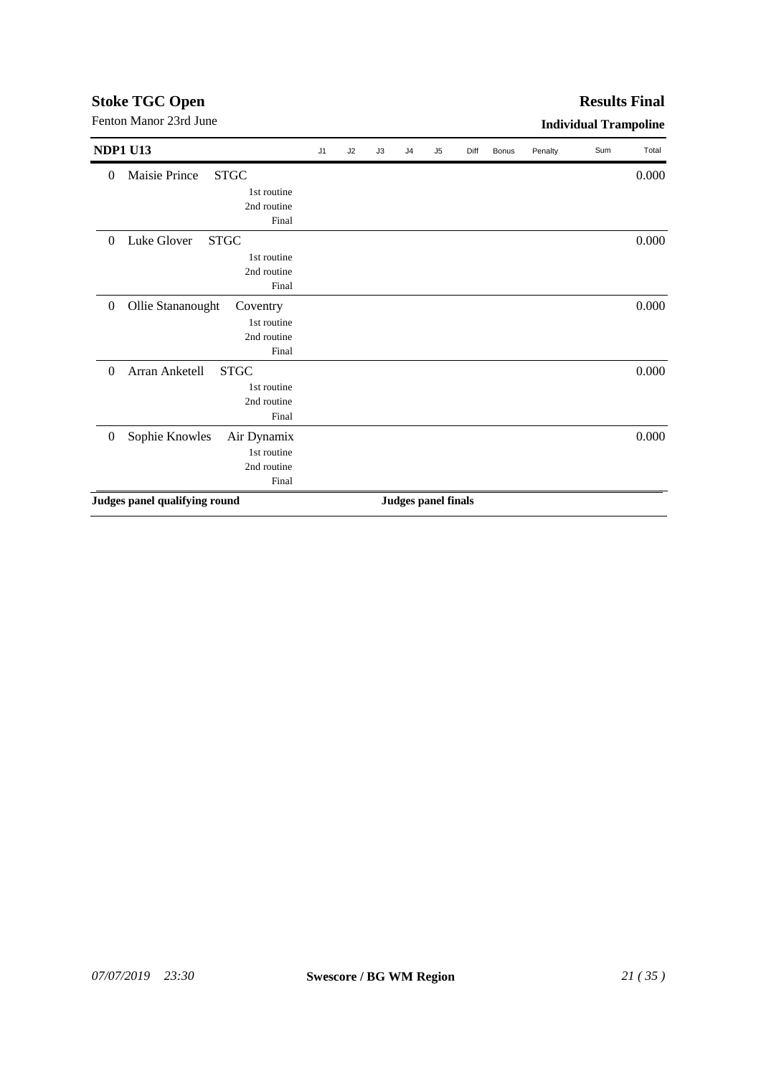|                                                   |    |    |    |                |                            |      |              |         | murruum rrumponne |       |
|---------------------------------------------------|----|----|----|----------------|----------------------------|------|--------------|---------|-------------------|-------|
| <b>NDP1 U13</b>                                   | J1 | J2 | J3 | J <sub>4</sub> | J <sub>5</sub>             | Diff | <b>Bonus</b> | Penalty | Sum               | Total |
| Maisie Prince<br><b>STGC</b><br>$\theta$          |    |    |    |                |                            |      |              |         |                   | 0.000 |
| 1st routine                                       |    |    |    |                |                            |      |              |         |                   |       |
| 2nd routine                                       |    |    |    |                |                            |      |              |         |                   |       |
| Final                                             |    |    |    |                |                            |      |              |         |                   |       |
| Luke Glover<br><b>STGC</b><br>$\Omega$            |    |    |    |                |                            |      |              |         |                   | 0.000 |
| 1st routine                                       |    |    |    |                |                            |      |              |         |                   |       |
| 2nd routine                                       |    |    |    |                |                            |      |              |         |                   |       |
| Final                                             |    |    |    |                |                            |      |              |         |                   |       |
| Ollie Stananought<br>$\theta$<br>Coventry         |    |    |    |                |                            |      |              |         |                   | 0.000 |
| 1st routine                                       |    |    |    |                |                            |      |              |         |                   |       |
| 2nd routine                                       |    |    |    |                |                            |      |              |         |                   |       |
| Final                                             |    |    |    |                |                            |      |              |         |                   |       |
| <b>STGC</b><br>Arran Anketell<br>$\theta$         |    |    |    |                |                            |      |              |         |                   | 0.000 |
| 1st routine                                       |    |    |    |                |                            |      |              |         |                   |       |
| 2nd routine                                       |    |    |    |                |                            |      |              |         |                   |       |
| Final                                             |    |    |    |                |                            |      |              |         |                   |       |
| Sophie Knowles<br>Air Dynamix<br>$\boldsymbol{0}$ |    |    |    |                |                            |      |              |         |                   | 0.000 |
| 1st routine                                       |    |    |    |                |                            |      |              |         |                   |       |
| 2nd routine                                       |    |    |    |                |                            |      |              |         |                   |       |
| Final                                             |    |    |    |                |                            |      |              |         |                   |       |
| Judges panel qualifying round                     |    |    |    |                | <b>Judges panel finals</b> |      |              |         |                   |       |
|                                                   |    |    |    |                |                            |      |              |         |                   |       |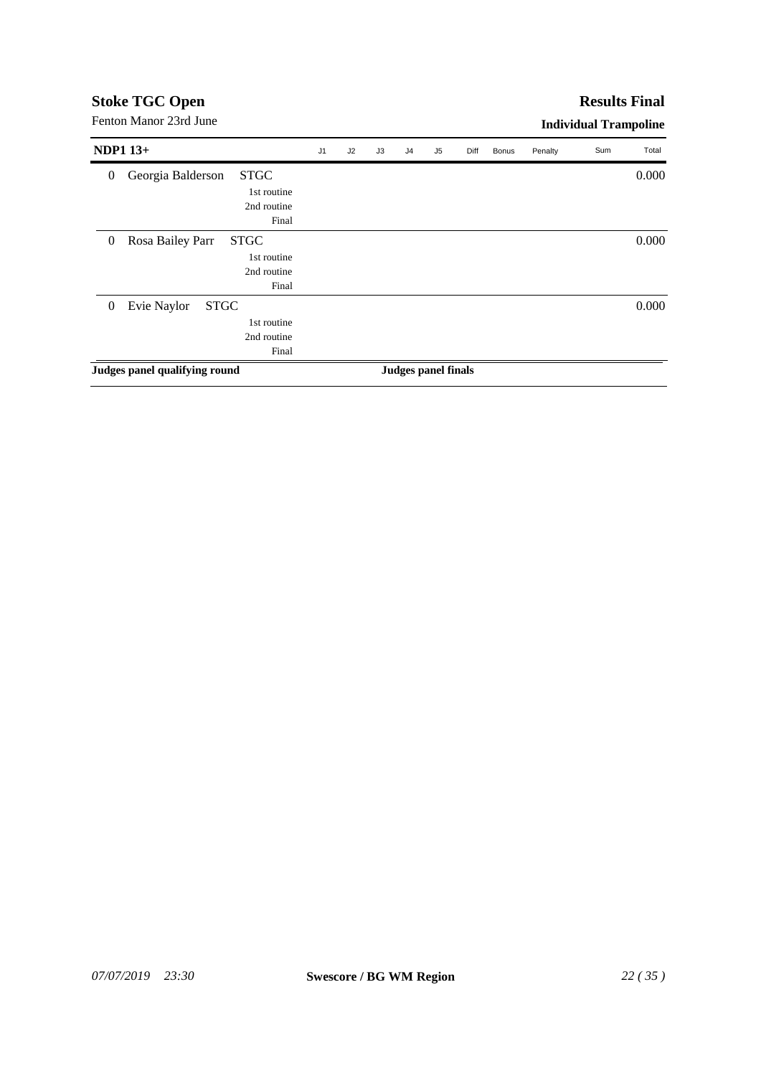| Fenton Manor 23rd June                               |    |    |    |                     |                |      |       |         | <b>Individual Trampoline</b> |       |
|------------------------------------------------------|----|----|----|---------------------|----------------|------|-------|---------|------------------------------|-------|
| <b>NDP1 13+</b>                                      | J1 | J2 | J3 | J <sub>4</sub>      | J <sub>5</sub> | Diff | Bonus | Penalty | Sum                          | Total |
| <b>STGC</b><br>Georgia Balderson<br>$\boldsymbol{0}$ |    |    |    |                     |                |      |       |         |                              | 0.000 |
| 1st routine                                          |    |    |    |                     |                |      |       |         |                              |       |
| 2nd routine                                          |    |    |    |                     |                |      |       |         |                              |       |
| Final                                                |    |    |    |                     |                |      |       |         |                              |       |
| Rosa Bailey Parr<br><b>STGC</b><br>$\boldsymbol{0}$  |    |    |    |                     |                |      |       |         |                              | 0.000 |
| 1st routine                                          |    |    |    |                     |                |      |       |         |                              |       |
| 2nd routine                                          |    |    |    |                     |                |      |       |         |                              |       |
| Final                                                |    |    |    |                     |                |      |       |         |                              |       |
| Evie Naylor<br><b>STGC</b><br>$\boldsymbol{0}$       |    |    |    |                     |                |      |       |         |                              | 0.000 |
| 1st routine                                          |    |    |    |                     |                |      |       |         |                              |       |
| 2nd routine                                          |    |    |    |                     |                |      |       |         |                              |       |
| Final                                                |    |    |    |                     |                |      |       |         |                              |       |
| Judges panel qualifying round                        |    |    |    | Judges panel finals |                |      |       |         |                              |       |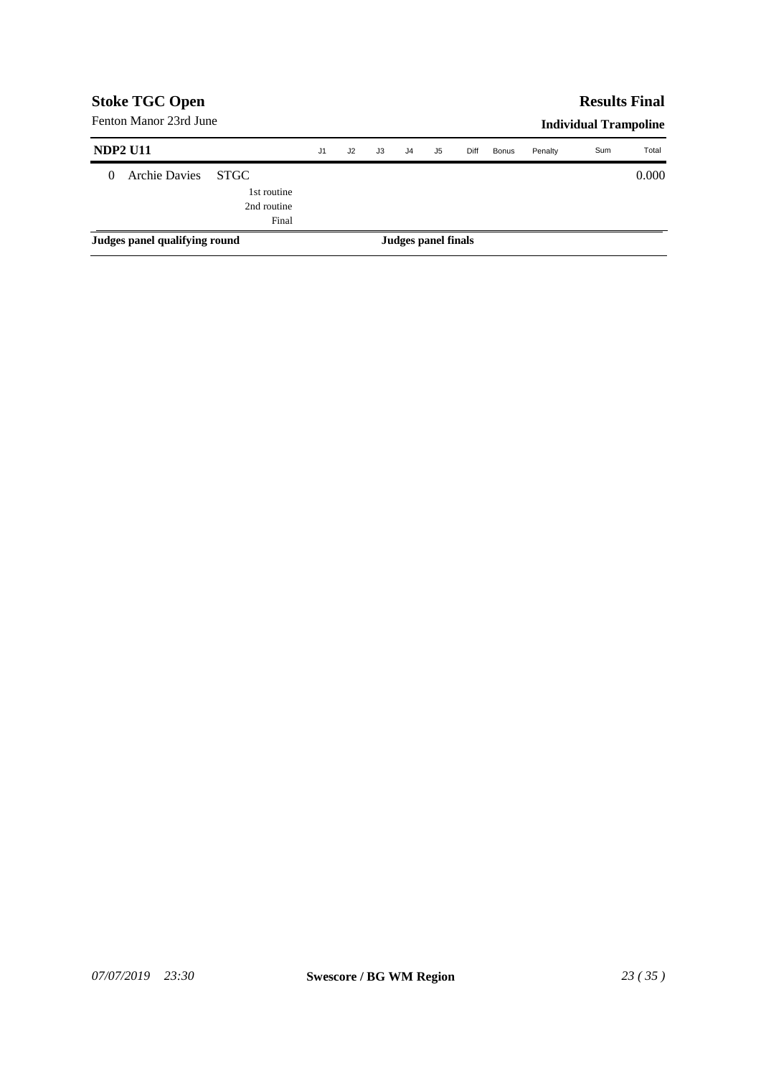|                 | <b>Stoke TGC Open</b><br>Fenton Manor 23rd June |                                                    |                |    |    |                |                     |      |              |         | <b>Results Final</b>         |       |
|-----------------|-------------------------------------------------|----------------------------------------------------|----------------|----|----|----------------|---------------------|------|--------------|---------|------------------------------|-------|
|                 |                                                 |                                                    |                |    |    |                |                     |      |              |         | <b>Individual Trampoline</b> |       |
| <b>NDP2 U11</b> |                                                 |                                                    | J <sub>1</sub> | J2 | J3 | J <sub>4</sub> | J5                  | Diff | <b>Bonus</b> | Penalty | Sum                          | Total |
| 0               | <b>Archie Davies</b>                            | <b>STGC</b><br>1st routine<br>2nd routine<br>Final |                |    |    |                |                     |      |              |         |                              | 0.000 |
|                 | Judges panel qualifying round                   |                                                    |                |    |    |                | Judges panel finals |      |              |         |                              |       |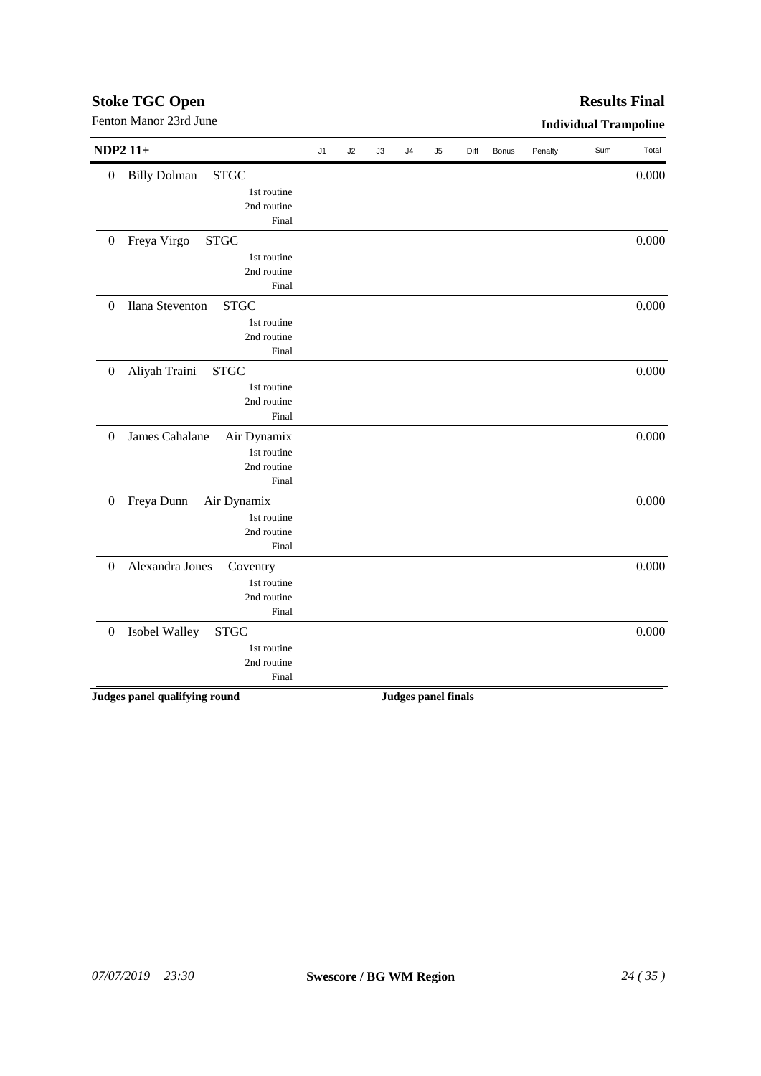#### *07/07/2019 23:30* **Swescore / BG WM Region** *24 ( 35 )*

| <b>NDP2 11+</b>  |                                    | J1 | J2 | J3 | J <sub>4</sub> | J5                         | Diff | Bonus | Penalty | Sum | Total |
|------------------|------------------------------------|----|----|----|----------------|----------------------------|------|-------|---------|-----|-------|
| $\boldsymbol{0}$ | <b>STGC</b><br><b>Billy Dolman</b> |    |    |    |                |                            |      |       |         |     | 0.000 |
|                  | 1st routine                        |    |    |    |                |                            |      |       |         |     |       |
|                  | 2nd routine                        |    |    |    |                |                            |      |       |         |     |       |
|                  | Final                              |    |    |    |                |                            |      |       |         |     |       |
| $\boldsymbol{0}$ | <b>STGC</b><br>Freya Virgo         |    |    |    |                |                            |      |       |         |     | 0.000 |
|                  | 1st routine                        |    |    |    |                |                            |      |       |         |     |       |
|                  | 2nd routine                        |    |    |    |                |                            |      |       |         |     |       |
|                  | Final                              |    |    |    |                |                            |      |       |         |     |       |
| $\boldsymbol{0}$ | Ilana Steventon<br><b>STGC</b>     |    |    |    |                |                            |      |       |         |     | 0.000 |
|                  | 1st routine                        |    |    |    |                |                            |      |       |         |     |       |
|                  | 2nd routine                        |    |    |    |                |                            |      |       |         |     |       |
|                  | Final                              |    |    |    |                |                            |      |       |         |     |       |
| $\boldsymbol{0}$ | Aliyah Traini<br><b>STGC</b>       |    |    |    |                |                            |      |       |         |     | 0.000 |
|                  | 1st routine                        |    |    |    |                |                            |      |       |         |     |       |
|                  | 2nd routine                        |    |    |    |                |                            |      |       |         |     |       |
|                  | Final                              |    |    |    |                |                            |      |       |         |     |       |
| $\boldsymbol{0}$ | James Cahalane<br>Air Dynamix      |    |    |    |                |                            |      |       |         |     | 0.000 |
|                  | 1st routine                        |    |    |    |                |                            |      |       |         |     |       |
|                  | 2nd routine                        |    |    |    |                |                            |      |       |         |     |       |
|                  | Final                              |    |    |    |                |                            |      |       |         |     |       |
| $\boldsymbol{0}$ | Freya Dunn<br>Air Dynamix          |    |    |    |                |                            |      |       |         |     | 0.000 |
|                  | 1st routine                        |    |    |    |                |                            |      |       |         |     |       |
|                  | 2nd routine                        |    |    |    |                |                            |      |       |         |     |       |
|                  | Final                              |    |    |    |                |                            |      |       |         |     |       |
| $\boldsymbol{0}$ | Alexandra Jones<br>Coventry        |    |    |    |                |                            |      |       |         |     | 0.000 |
|                  | 1st routine                        |    |    |    |                |                            |      |       |         |     |       |
|                  | 2nd routine                        |    |    |    |                |                            |      |       |         |     |       |
|                  | Final                              |    |    |    |                |                            |      |       |         |     |       |
| $\boldsymbol{0}$ | Isobel Walley<br><b>STGC</b>       |    |    |    |                |                            |      |       |         |     | 0.000 |
|                  | 1st routine                        |    |    |    |                |                            |      |       |         |     |       |
|                  | 2nd routine                        |    |    |    |                |                            |      |       |         |     |       |
|                  | Final                              |    |    |    |                |                            |      |       |         |     |       |
|                  | Judges panel qualifying round      |    |    |    |                | <b>Judges panel finals</b> |      |       |         |     |       |

Fenton Manor 23rd June **Individual Trampoline** 

# **Stoke TGC Open**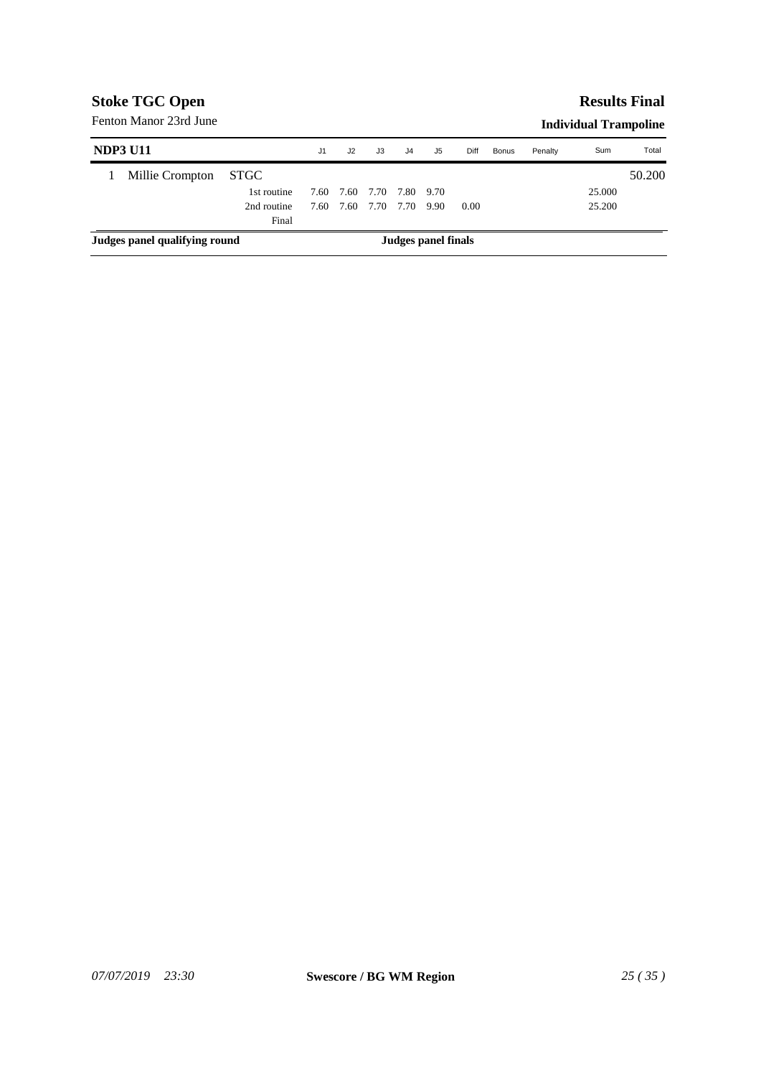### **Results Final**

| <b>NDP3 U11</b>               |             | J <sub>1</sub> | J2   | JЗ   | J <sub>4</sub> | J5                  | Diff | Bonus | Penalty | Sum    | Total  |
|-------------------------------|-------------|----------------|------|------|----------------|---------------------|------|-------|---------|--------|--------|
| Millie Crompton               | STGC        |                |      |      |                |                     |      |       |         |        | 50.200 |
|                               | 1st routine | 7.60           | 7.60 |      | 7.70 7.80 9.70 |                     |      |       |         | 25,000 |        |
|                               | 2nd routine | 7.60           | 7.60 | 7.70 | 7.70           | 9.90                | 0.00 |       |         | 25.200 |        |
|                               | Final       |                |      |      |                |                     |      |       |         |        |        |
| Judges panel qualifying round |             |                |      |      |                | Judges panel finals |      |       |         |        |        |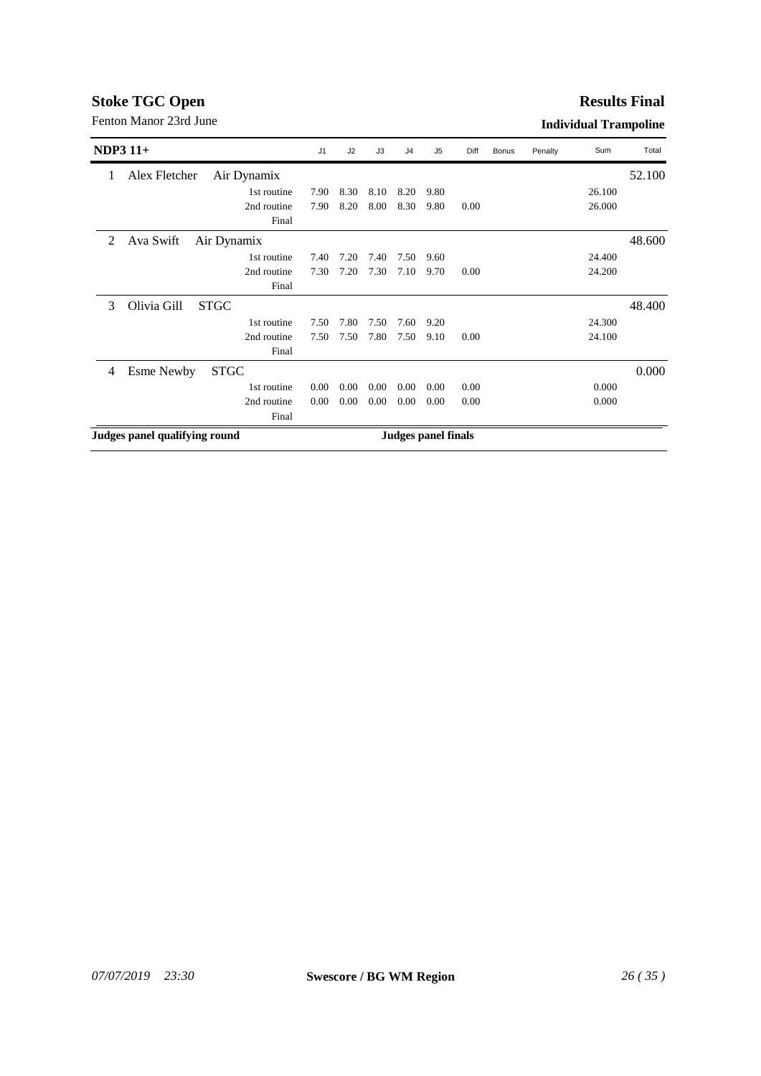# **Results Final**

| $NDP3$ 11+ |                               | J1   | J2   | J3   | J <sub>4</sub> | J5                  | Diff | <b>Bonus</b> | Penalty | Sum    | Total  |
|------------|-------------------------------|------|------|------|----------------|---------------------|------|--------------|---------|--------|--------|
| 1          | Alex Fletcher<br>Air Dynamix  |      |      |      |                |                     |      |              |         |        | 52.100 |
|            | 1st routine                   | 7.90 | 8.30 | 8.10 | 8.20           | 9.80                |      |              |         | 26.100 |        |
|            | 2nd routine                   | 7.90 | 8.20 | 8.00 | 8.30           | 9.80                | 0.00 |              |         | 26.000 |        |
|            | Final                         |      |      |      |                |                     |      |              |         |        |        |
| 2          | Ava Swift<br>Air Dynamix      |      |      |      |                |                     |      |              |         |        | 48.600 |
|            | 1st routine                   | 7.40 | 7.20 | 7.40 | 7.50           | 9.60                |      |              |         | 24.400 |        |
|            | 2nd routine                   | 7.30 | 7.20 | 7.30 | 7.10           | 9.70                | 0.00 |              |         | 24.200 |        |
|            | Final                         |      |      |      |                |                     |      |              |         |        |        |
| 3          | Olivia Gill<br><b>STGC</b>    |      |      |      |                |                     |      |              |         |        | 48.400 |
|            | 1st routine                   | 7.50 | 7.80 | 7.50 | 7.60           | 9.20                |      |              |         | 24.300 |        |
|            | 2nd routine                   | 7.50 | 7.50 | 7.80 | 7.50           | 9.10                | 0.00 |              |         | 24.100 |        |
|            | Final                         |      |      |      |                |                     |      |              |         |        |        |
| 4          | <b>STGC</b><br>Esme Newby     |      |      |      |                |                     |      |              |         |        | 0.000  |
|            | 1st routine                   | 0.00 | 0.00 | 0.00 | 0.00           | 0.00                | 0.00 |              |         | 0.000  |        |
|            | 2nd routine                   | 0.00 | 0.00 | 0.00 | 0.00           | 0.00                | 0.00 |              |         | 0.000  |        |
|            | Final                         |      |      |      |                |                     |      |              |         |        |        |
|            | Judges panel qualifying round |      |      |      |                | Judges panel finals |      |              |         |        |        |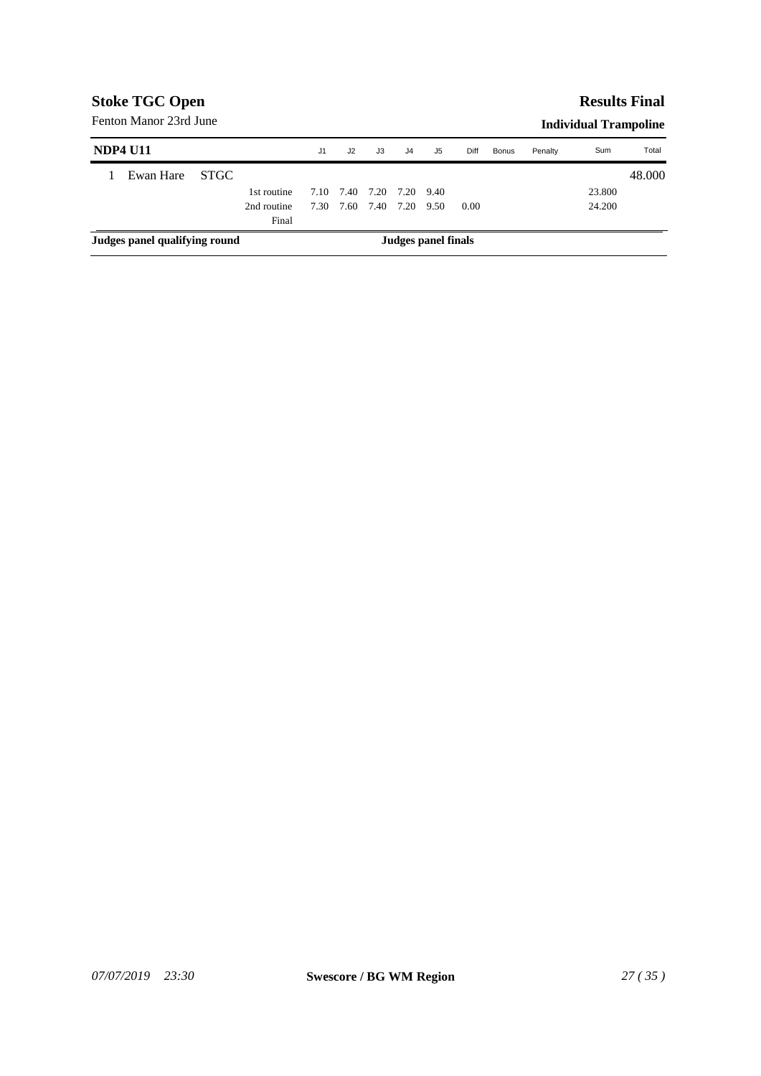# *07/07/2019 23:30* **Swescore / BG WM Region** *27 ( 35 )*

|                               | Fenton Manor 23rd June |       |             |                |      |                     |                |                     |      |       | <b>Individual Trampoline</b> |        |        |
|-------------------------------|------------------------|-------|-------------|----------------|------|---------------------|----------------|---------------------|------|-------|------------------------------|--------|--------|
|                               | <b>NDP4 U11</b>        |       |             | J <sub>1</sub> | J2   | J3                  | J <sub>4</sub> | J5                  | Diff | Bonus | Penalty                      | Sum    | Total  |
|                               | Ewan Hare              | STGC. |             |                |      |                     |                |                     |      |       |                              |        | 48.000 |
|                               |                        |       | 1st routine | 7.10           |      | 7.40 7.20 7.20 9.40 |                |                     |      |       |                              | 23.800 |        |
|                               |                        |       | 2nd routine | 7.30           | 7.60 | 7.40                | 7.20 9.50      |                     | 0.00 |       |                              | 24.200 |        |
|                               |                        |       | Final       |                |      |                     |                |                     |      |       |                              |        |        |
| Judges panel qualifying round |                        |       |             |                |      |                     |                | Judges panel finals |      |       |                              |        |        |

# **Stoke TGC Open**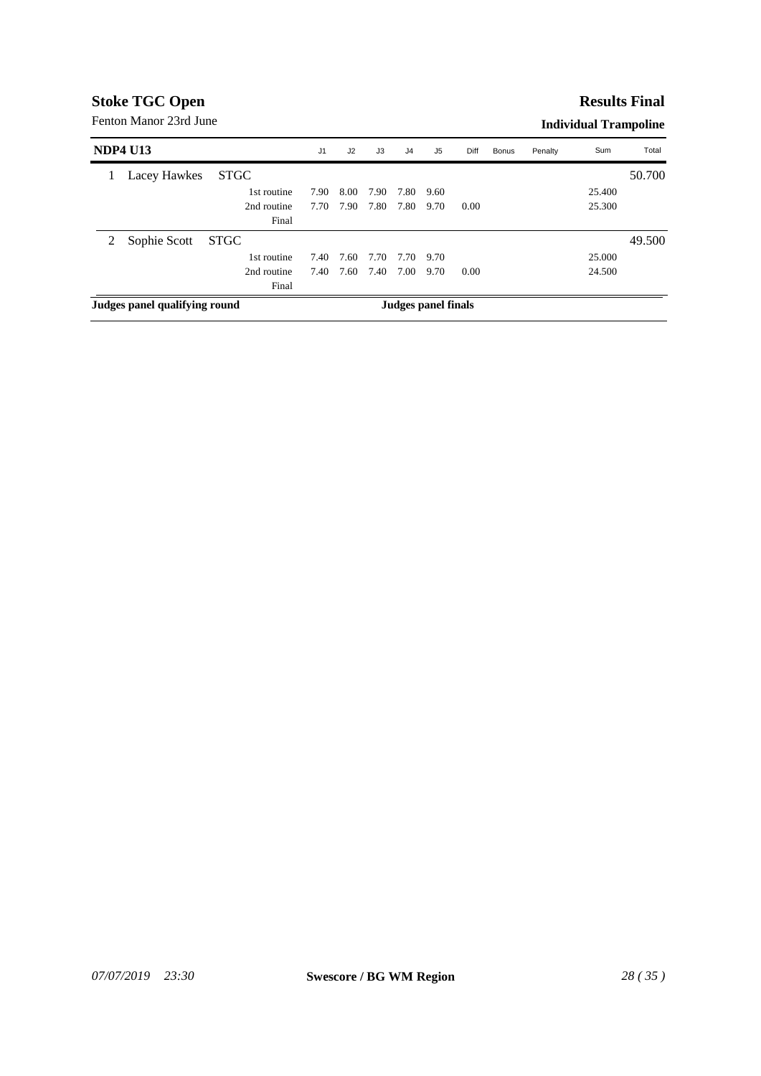#### **Results Final**

| <b>NDP4 U13</b>               |              |             | J <sub>1</sub> | J2   | J3   | J4   | J <sub>5</sub>      | Diff | Bonus | Penalty | Sum    | Total  |
|-------------------------------|--------------|-------------|----------------|------|------|------|---------------------|------|-------|---------|--------|--------|
|                               | Lacey Hawkes | <b>STGC</b> |                |      |      |      |                     |      |       |         |        | 50.700 |
|                               |              | 1st routine | 7.90           | 8.00 | 7.90 | 7.80 | 9.60                |      |       |         | 25.400 |        |
|                               |              | 2nd routine | 7.70           | 7.90 | 7.80 | 7.80 | 9.70                | 0.00 |       |         | 25.300 |        |
|                               |              | Final       |                |      |      |      |                     |      |       |         |        |        |
| 2                             | Sophie Scott | STGC        |                |      |      |      |                     |      |       |         |        | 49.500 |
|                               |              | 1st routine | 7.40           | 7.60 | 7.70 | 7.70 | 9.70                |      |       |         | 25,000 |        |
|                               |              | 2nd routine | 7.40           | 7.60 | 7.40 | 7.00 | 9.70                | 0.00 |       |         | 24.500 |        |
|                               |              | Final       |                |      |      |      |                     |      |       |         |        |        |
| Judges panel qualifying round |              |             |                |      |      |      | Judges panel finals |      |       |         |        |        |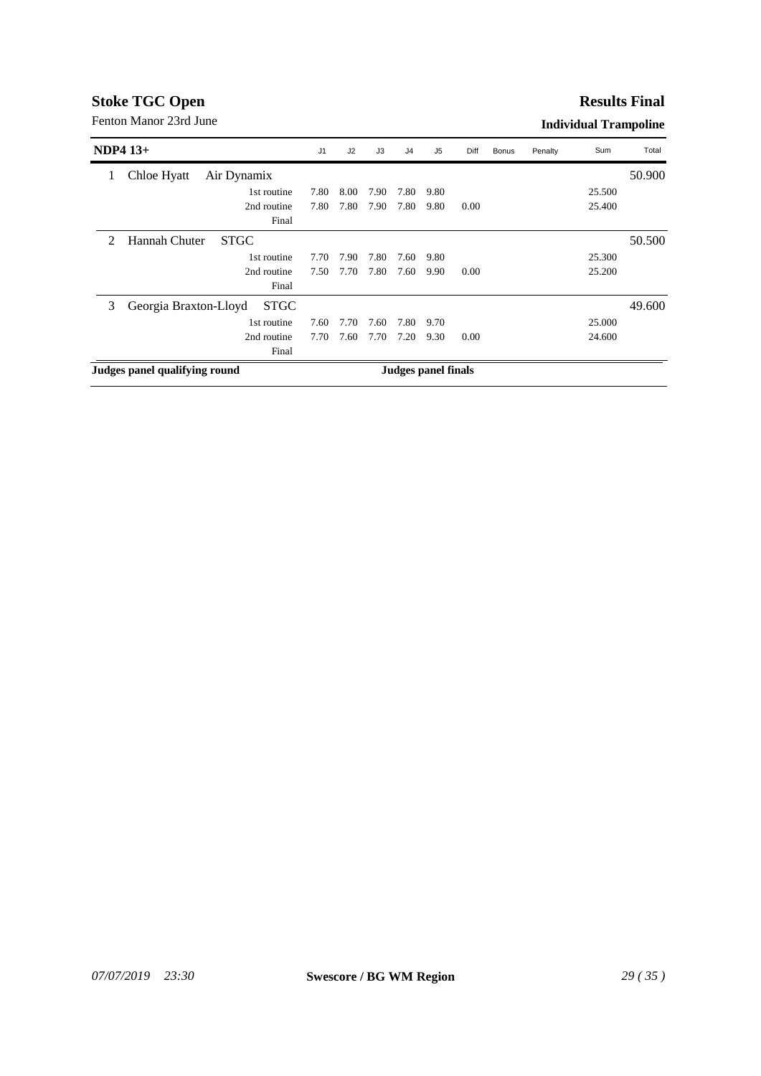#### **Results Final**

| $NDP4$ 13+     |                                      | J <sub>1</sub> | J2   | J3   | J4   | J5                         | Diff | <b>Bonus</b> | Penalty | Sum    | Total  |
|----------------|--------------------------------------|----------------|------|------|------|----------------------------|------|--------------|---------|--------|--------|
| 1              | Chloe Hyatt<br>Air Dynamix           |                |      |      |      |                            |      |              |         |        | 50.900 |
|                | 1st routine                          | 7.80           | 8.00 | 7.90 | 7.80 | 9.80                       |      |              |         | 25.500 |        |
|                | 2nd routine                          | 7.80           | 7.80 | 7.90 | 7.80 | 9.80                       | 0.00 |              |         | 25.400 |        |
|                | Final                                |                |      |      |      |                            |      |              |         |        |        |
| $\mathfrak{D}$ | Hannah Chuter<br><b>STGC</b>         |                |      |      |      |                            |      |              |         |        | 50.500 |
|                | 1st routine                          | 7.70           | 7.90 | 7.80 | 7.60 | 9.80                       |      |              |         | 25.300 |        |
|                | 2nd routine                          | 7.50           | 7.70 | 7.80 | 7.60 | 9.90                       | 0.00 |              |         | 25.200 |        |
|                | Final                                |                |      |      |      |                            |      |              |         |        |        |
| 3              | Georgia Braxton-Lloyd<br><b>STGC</b> |                |      |      |      |                            |      |              |         |        | 49.600 |
|                | 1st routine                          | 7.60           | 7.70 | 7.60 | 7.80 | 9.70                       |      |              |         | 25,000 |        |
|                | 2nd routine                          | 7.70           | 7.60 | 7.70 | 7.20 | 9.30                       | 0.00 |              |         | 24.600 |        |
|                | Final                                |                |      |      |      |                            |      |              |         |        |        |
|                | Judges panel qualifying round        |                |      |      |      | <b>Judges panel finals</b> |      |              |         |        |        |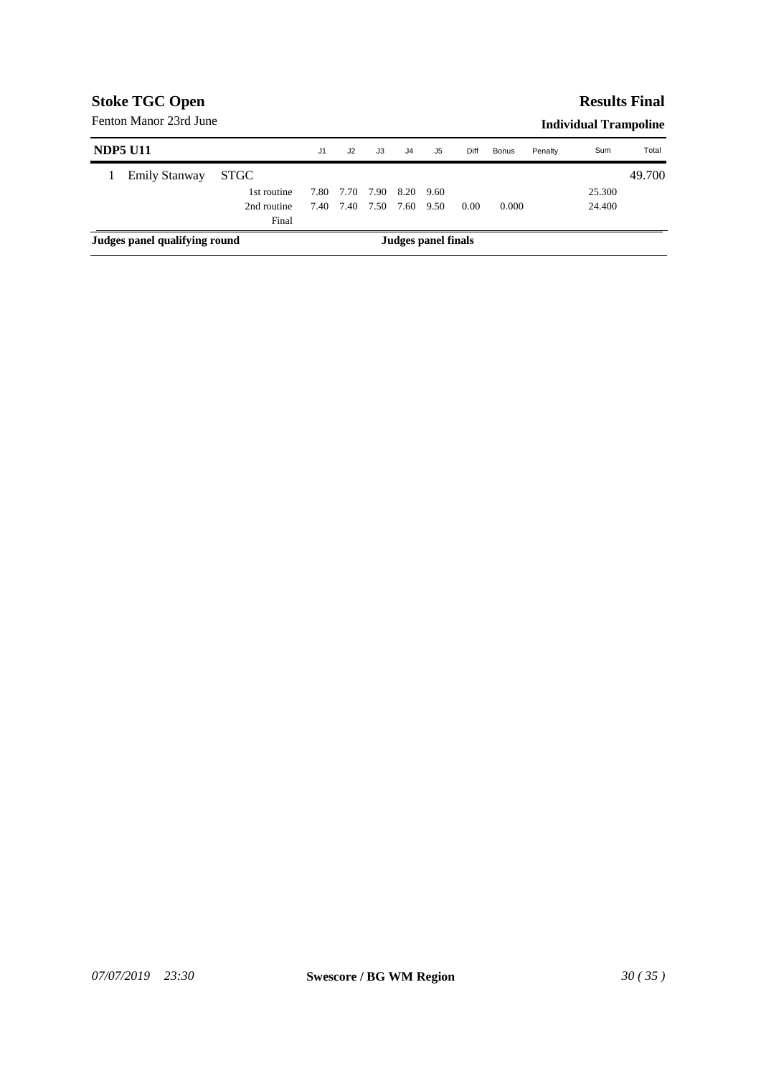#### Fenton Manor 23rd June

|  | <b>Individual Trampoline</b> |
|--|------------------------------|
|--|------------------------------|

|                               | <b>NDP5 U11</b>      |             | J1   | J2   | J3   | J4   | J5                  | Diff | Bonus | Penalty | Sum    | Total  |
|-------------------------------|----------------------|-------------|------|------|------|------|---------------------|------|-------|---------|--------|--------|
|                               | <b>Emily Stanway</b> | <b>STGC</b> |      |      |      |      |                     |      |       |         |        | 49.700 |
|                               |                      | 1st routine | 7.80 | 7.70 | 7.90 | 8.20 | 9.60                |      |       |         | 25.300 |        |
|                               |                      | 2nd routine | 7.40 | 7.40 | 7.50 | 7.60 | 9.50                | 0.00 | 0.000 |         | 24.400 |        |
|                               |                      | Final       |      |      |      |      |                     |      |       |         |        |        |
| Judges panel qualifying round |                      |             |      |      |      |      | Judges panel finals |      |       |         |        |        |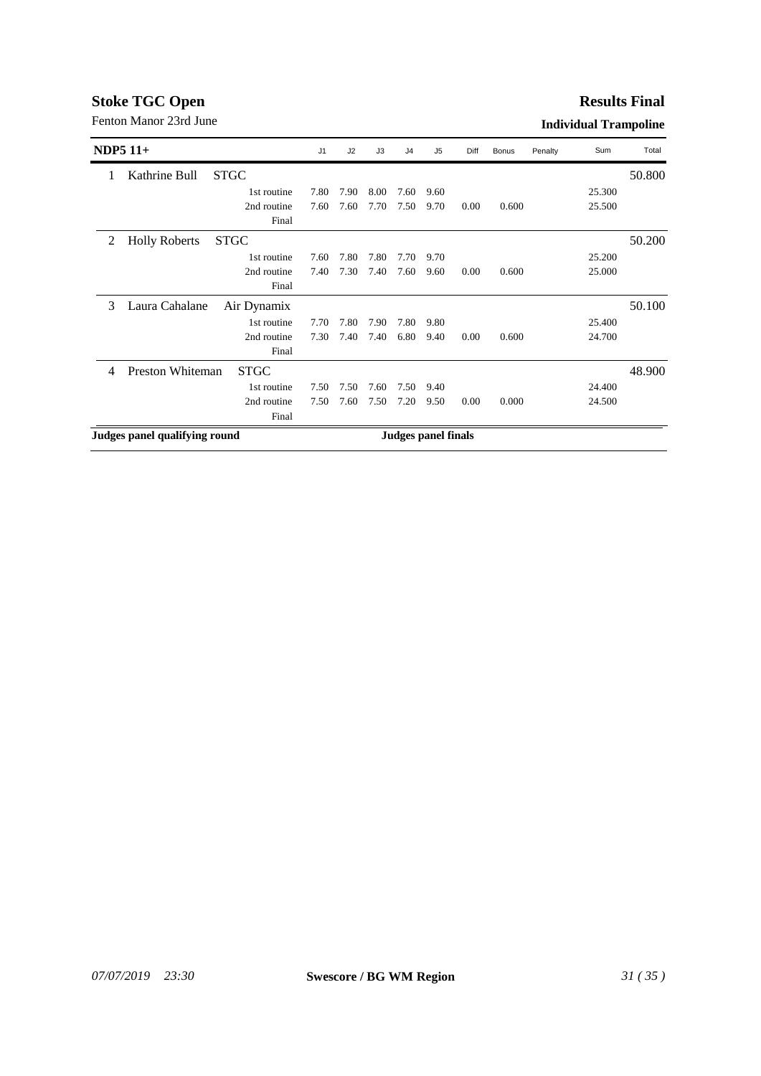#### **Results Final**

|                               | NDP5 $11+$           |             | J <sub>1</sub> | J2   | J3   | J <sub>4</sub> | J <sub>5</sub>             | Diff | <b>Bonus</b> | Penalty | Sum    | Total  |
|-------------------------------|----------------------|-------------|----------------|------|------|----------------|----------------------------|------|--------------|---------|--------|--------|
|                               | Kathrine Bull        | <b>STGC</b> |                |      |      |                |                            |      |              |         |        | 50.800 |
|                               |                      | 1st routine | 7.80           | 7.90 | 8.00 | 7.60           | 9.60                       |      |              |         | 25.300 |        |
|                               |                      | 2nd routine | 7.60           | 7.60 | 7.70 | 7.50           | 9.70                       | 0.00 | 0.600        |         | 25.500 |        |
|                               |                      | Final       |                |      |      |                |                            |      |              |         |        |        |
| 2                             | <b>Holly Roberts</b> | <b>STGC</b> |                |      |      |                |                            |      |              |         |        | 50.200 |
|                               |                      | 1st routine | 7.60           | 7.80 | 7.80 | 7.70           | 9.70                       |      |              |         | 25.200 |        |
|                               |                      | 2nd routine | 7.40           | 7.30 | 7.40 | 7.60           | 9.60                       | 0.00 | 0.600        |         | 25.000 |        |
|                               |                      | Final       |                |      |      |                |                            |      |              |         |        |        |
| 3                             | Laura Cahalane       | Air Dynamix |                |      |      |                |                            |      |              |         |        | 50.100 |
|                               |                      | 1st routine | 7.70           | 7.80 | 7.90 | 7.80           | 9.80                       |      |              |         | 25.400 |        |
|                               |                      | 2nd routine | 7.30           | 7.40 | 7.40 | 6.80           | 9.40                       | 0.00 | 0.600        |         | 24.700 |        |
|                               |                      | Final       |                |      |      |                |                            |      |              |         |        |        |
| 4                             | Preston Whiteman     | <b>STGC</b> |                |      |      |                |                            |      |              |         |        | 48.900 |
|                               |                      | 1st routine | 7.50           | 7.50 | 7.60 | 7.50           | 9.40                       |      |              |         | 24.400 |        |
|                               |                      | 2nd routine | 7.50           | 7.60 | 7.50 | 7.20           | 9.50                       | 0.00 | 0.000        |         | 24.500 |        |
|                               |                      | Final       |                |      |      |                |                            |      |              |         |        |        |
| Judges panel qualifying round |                      |             |                |      |      |                | <b>Judges panel finals</b> |      |              |         |        |        |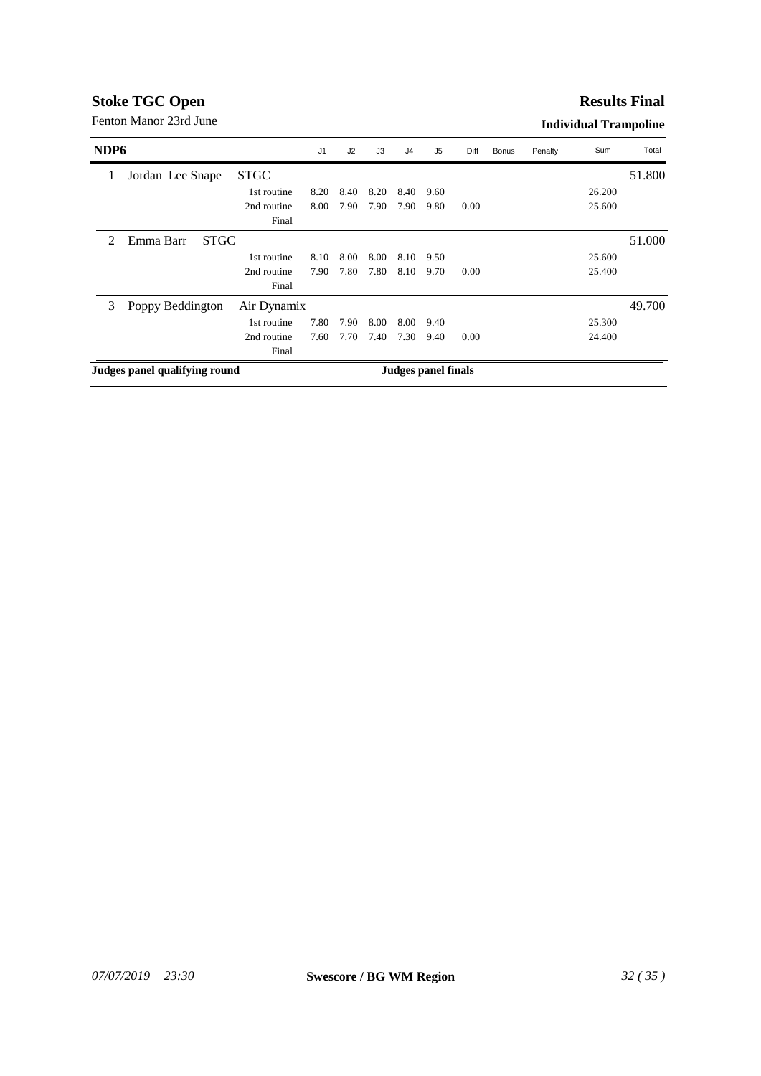#### **Results Final**

| NDP <sub>6</sub>              |                          |             | J <sub>1</sub> | J2   | J3   | J <sub>4</sub> | J5                  | Diff | <b>Bonus</b> | Penalty | Sum    | Total  |
|-------------------------------|--------------------------|-------------|----------------|------|------|----------------|---------------------|------|--------------|---------|--------|--------|
| 1                             | Jordan Lee Snape         | <b>STGC</b> |                |      |      |                |                     |      |              |         |        | 51.800 |
|                               |                          | 1st routine | 8.20           | 8.40 | 8.20 | 8.40           | 9.60                |      |              |         | 26.200 |        |
|                               |                          | 2nd routine | 8.00           | 7.90 | 7.90 | 7.90           | 9.80                | 0.00 |              |         | 25.600 |        |
|                               |                          | Final       |                |      |      |                |                     |      |              |         |        |        |
| $\mathfrak{D}$                | Emma Barr<br><b>STGC</b> |             |                |      |      |                |                     |      |              |         |        | 51.000 |
|                               |                          | 1st routine | 8.10           | 8.00 | 8.00 | 8.10           | 9.50                |      |              |         | 25.600 |        |
|                               |                          | 2nd routine | 7.90           | 7.80 | 7.80 | 8.10           | 9.70                | 0.00 |              |         | 25.400 |        |
|                               |                          | Final       |                |      |      |                |                     |      |              |         |        |        |
| 3                             | Poppy Beddington         | Air Dynamix |                |      |      |                |                     |      |              |         |        | 49.700 |
|                               |                          | 1st routine | 7.80           | 7.90 | 8.00 | 8.00           | 9.40                |      |              |         | 25.300 |        |
|                               |                          | 2nd routine | 7.60           | 7.70 | 7.40 | 7.30           | 9.40                | 0.00 |              |         | 24.400 |        |
|                               |                          | Final       |                |      |      |                |                     |      |              |         |        |        |
| Judges panel qualifying round |                          |             |                |      |      |                | Judges panel finals |      |              |         |        |        |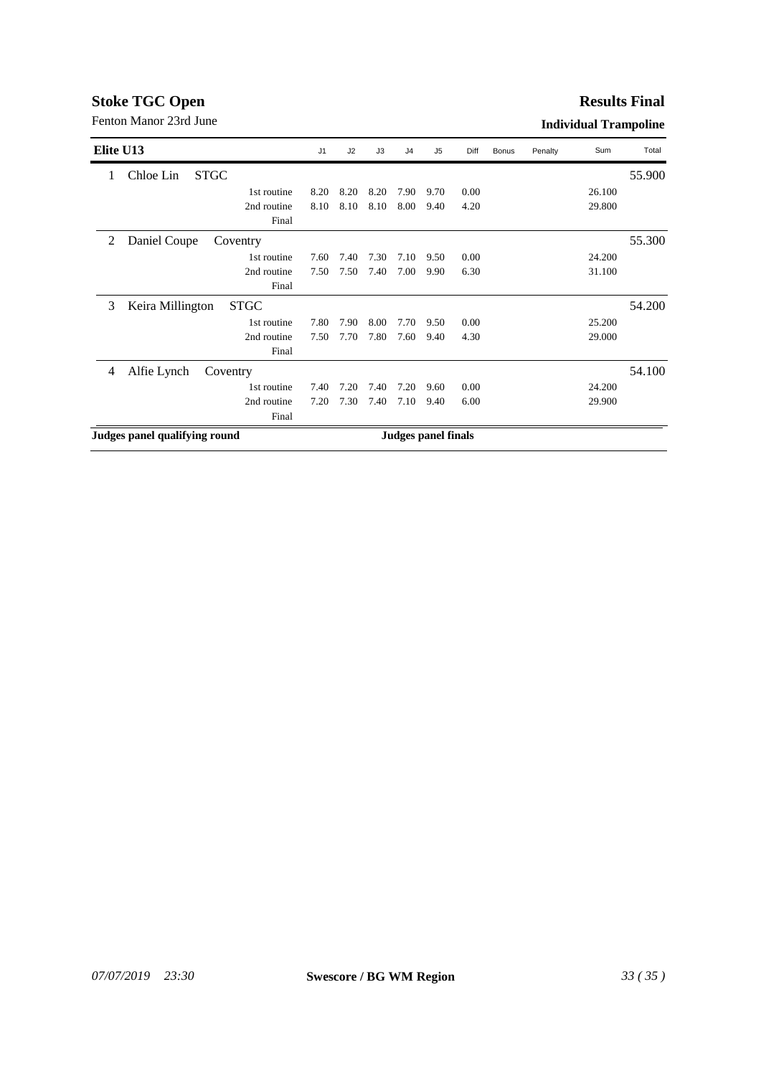#### **Results Final**

| Elite U13                                 | J <sub>1</sub> | J2   | J3   | J <sub>4</sub> | J5                         | Diff | <b>Bonus</b> | Penalty | Sum    | Total  |
|-------------------------------------------|----------------|------|------|----------------|----------------------------|------|--------------|---------|--------|--------|
| Chloe Lin<br><b>STGC</b><br>$\mathbf{I}$  |                |      |      |                |                            |      |              |         |        | 55.900 |
| 1st routine                               | 8.20           | 8.20 | 8.20 | 7.90           | 9.70                       | 0.00 |              |         | 26.100 |        |
| 2nd routine                               | 8.10           | 8.10 | 8.10 | 8.00           | 9.40                       | 4.20 |              |         | 29.800 |        |
| Final                                     |                |      |      |                |                            |      |              |         |        |        |
| 2<br>Daniel Coupe<br>Coventry             |                |      |      |                |                            |      |              |         |        | 55.300 |
| 1st routine                               | 7.60           | 7.40 | 7.30 | 7.10           | 9.50                       | 0.00 |              |         | 24.200 |        |
| 2nd routine                               | 7.50           | 7.50 | 7.40 | 7.00           | 9.90                       | 6.30 |              |         | 31.100 |        |
| Final                                     |                |      |      |                |                            |      |              |         |        |        |
| 3<br>Keira Millington<br><b>STGC</b>      |                |      |      |                |                            |      |              |         |        | 54.200 |
| 1st routine                               | 7.80           | 7.90 | 8.00 | 7.70           | 9.50                       | 0.00 |              |         | 25.200 |        |
| 2nd routine                               | 7.50           | 7.70 | 7.80 | 7.60           | 9.40                       | 4.30 |              |         | 29.000 |        |
| Final                                     |                |      |      |                |                            |      |              |         |        |        |
| Alfie Lynch<br>$\overline{4}$<br>Coventry |                |      |      |                |                            |      |              |         |        | 54.100 |
| 1st routine                               | 7.40           | 7.20 | 7.40 | 7.20           | 9.60                       | 0.00 |              |         | 24.200 |        |
| 2nd routine                               | 7.20           | 7.30 | 7.40 | 7.10           | 9.40                       | 6.00 |              |         | 29.900 |        |
| Final                                     |                |      |      |                |                            |      |              |         |        |        |
| Judges panel qualifying round             |                |      |      |                | <b>Judges panel finals</b> |      |              |         |        |        |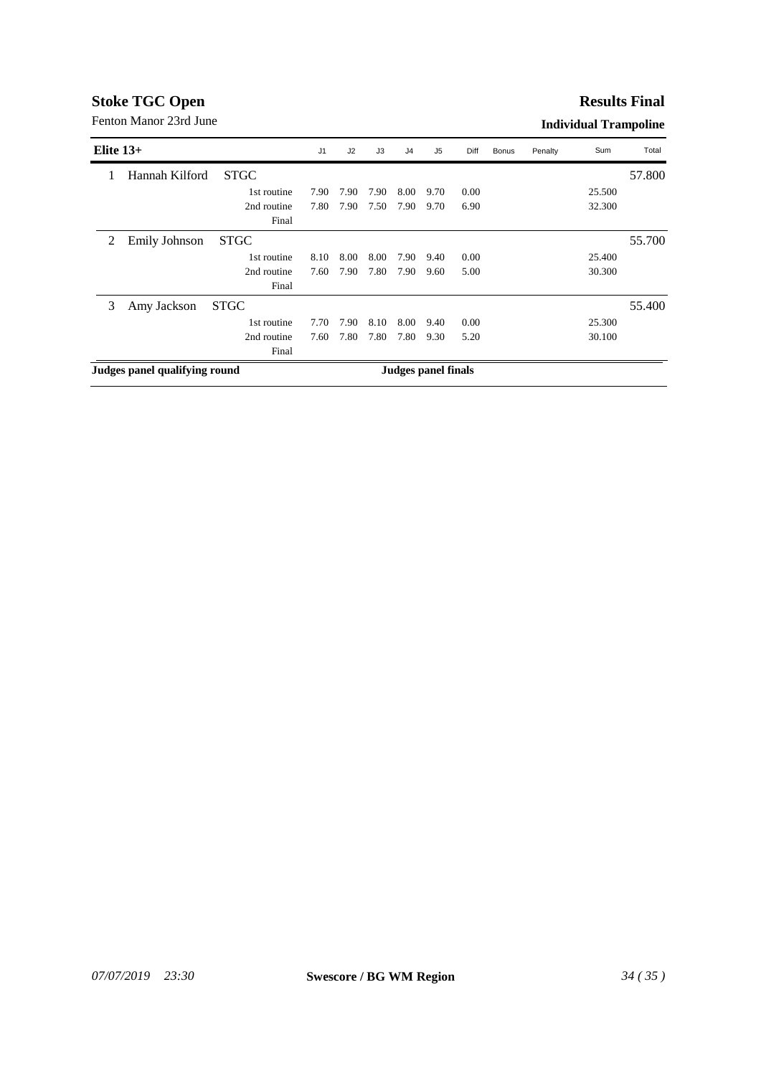#### **Results Final**

| Elite $13+$ |                               |             | J <sub>1</sub> | J2   | J3   | J <sub>4</sub>      | J5   | Diff | <b>Bonus</b> | Penalty | Sum    | Total  |
|-------------|-------------------------------|-------------|----------------|------|------|---------------------|------|------|--------------|---------|--------|--------|
|             | Hannah Kilford                | <b>STGC</b> |                |      |      |                     |      |      |              |         |        | 57.800 |
|             |                               | 1st routine | 7.90           | 7.90 | 7.90 | 8.00                | 9.70 | 0.00 |              |         | 25.500 |        |
|             |                               | 2nd routine | 7.80           | 7.90 | 7.50 | 7.90                | 9.70 | 6.90 |              |         | 32.300 |        |
|             |                               | Final       |                |      |      |                     |      |      |              |         |        |        |
| 2           | <b>Emily Johnson</b>          | <b>STGC</b> |                |      |      |                     |      |      |              |         |        | 55.700 |
|             |                               | 1st routine | 8.10           | 8.00 | 8.00 | 7.90                | 9.40 | 0.00 |              |         | 25.400 |        |
|             |                               | 2nd routine | 7.60           | 7.90 | 7.80 | 7.90                | 9.60 | 5.00 |              |         | 30.300 |        |
|             |                               | Final       |                |      |      |                     |      |      |              |         |        |        |
| 3           | Amy Jackson                   | <b>STGC</b> |                |      |      |                     |      |      |              |         |        | 55.400 |
|             |                               | 1st routine | 7.70           | 7.90 | 8.10 | 8.00                | 9.40 | 0.00 |              |         | 25.300 |        |
|             |                               | 2nd routine | 7.60           | 7.80 | 7.80 | 7.80                | 9.30 | 5.20 |              |         | 30.100 |        |
|             |                               | Final       |                |      |      |                     |      |      |              |         |        |        |
|             | Judges panel qualifying round |             |                |      |      | Judges panel finals |      |      |              |         |        |        |